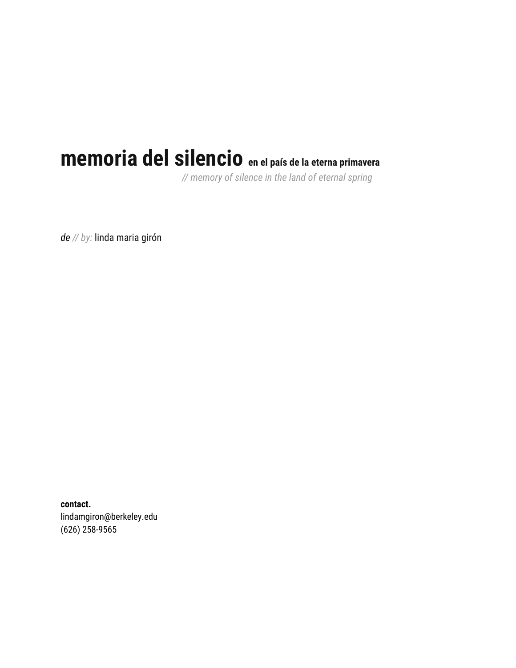# **memoria del silencio en el país de la eterna primavera**

*// memory of silence in the land of eternal spring*

*de // by:* linda maria girón

**contact.** lindamgiron@berkeley.edu (626) 258-9565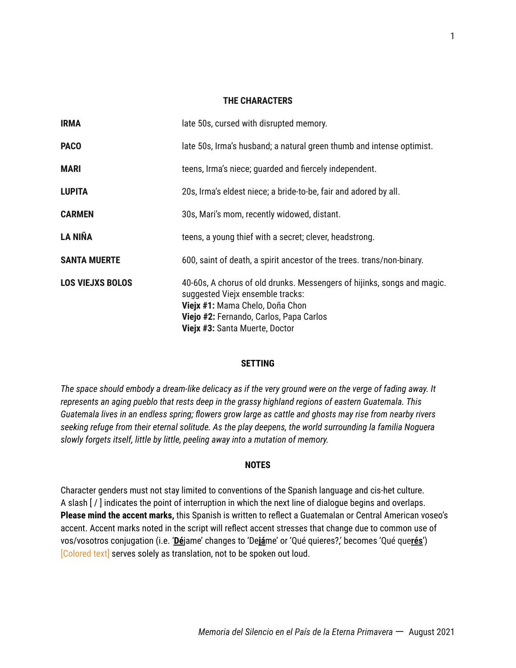#### **THE CHARACTERS**

| <b>IRMA</b>             | late 50s, cursed with disrupted memory.                                                                                                                                                                                     |
|-------------------------|-----------------------------------------------------------------------------------------------------------------------------------------------------------------------------------------------------------------------------|
| <b>PACO</b>             | late 50s, Irma's husband; a natural green thumb and intense optimist.                                                                                                                                                       |
| <b>MARI</b>             | teens, Irma's niece; guarded and fiercely independent.                                                                                                                                                                      |
| <b>LUPITA</b>           | 20s, Irma's eldest niece; a bride-to-be, fair and adored by all.                                                                                                                                                            |
| <b>CARMEN</b>           | 30s, Mari's mom, recently widowed, distant.                                                                                                                                                                                 |
| <b>LA NIÑA</b>          | teens, a young thief with a secret; clever, headstrong.                                                                                                                                                                     |
| <b>SANTA MUERTE</b>     | 600, saint of death, a spirit ancestor of the trees. trans/non-binary.                                                                                                                                                      |
| <b>LOS VIEJXS BOLOS</b> | 40-60s, A chorus of old drunks. Messengers of hijinks, songs and magic.<br>suggested Viejx ensemble tracks:<br>Viejx #1: Mama Chelo, Doña Chon<br>Viejo #2: Fernando, Carlos, Papa Carlos<br>Viejx #3: Santa Muerte, Doctor |

#### **SETTING**

*The space should embody a dream-like delicacy as if the very ground were on the verge of fading away. It represents an aging pueblo that rests deep in the grassy highland regions of eastern Guatemala. This Guatemala lives in an endless spring; flowers grow large as cattle and ghosts may rise from nearby rivers seeking refuge from their eternal solitude. As the play deepens, the world surrounding la familia Noguera slowly forgets itself, little by little, peeling away into a mutation of memory.*

#### **NOTES**

Character genders must not stay limited to conventions of the Spanish language and cis-het culture. A slash [ / ] indicates the point of interruption in which the next line of dialogue begins and overlaps. **Please mind the accent marks,** this Spanish is written to reflect a Guatemalan or Central American voseo's accent. Accent marks noted in the script will reflect accent stresses that change due to common use of vos/vosotros conjugation (i.e. '**Dé**jame' changes to 'De**já**me' or 'Qué quieres?,' becomes 'Qué que**rés**') [Colored text] serves solely as translation, not to be spoken out loud.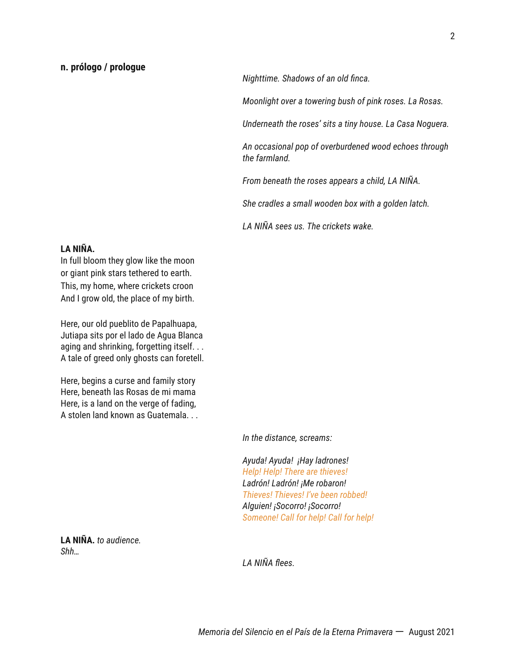#### **n. prólogo / prologue**

*Nighttime. Shadows of an old finca.*

*Moonlight over a towering bush of pink roses. La Rosas.*

*Underneath the roses' sits a tiny house. La Casa Noguera.*

*An occasional pop of overburdened wood echoes through the farmland.*

*From beneath the roses appears a child, LA NIÑA.*

*She cradles a small wooden box with a golden latch.*

*LA NIÑA sees us. The crickets wake.*

#### **LA NIÑA.**

In full bloom they glow like the moon or giant pink stars tethered to earth. This, my home, where crickets croon And I grow old, the place of my birth.

Here, our old pueblito de Papalhuapa, Jutiapa sits por el lado de Agua Blanca aging and shrinking, forgetting itself. . . A tale of greed only ghosts can foretell.

Here, begins a curse and family story Here, beneath las Rosas de mi mama Here, is a land on the verge of fading, A stolen land known as Guatemala. . .

*In the distance, screams:*

*Ayuda! Ayuda! ¡Hay ladrones! Help! Help! There are thieves! Ladrón! Ladrón! ¡Me robaron! Thieves! Thieves! I've been robbed! Alguien! ¡Socorro! ¡Socorro! Someone! Call for help! Call for help!*

**LA NIÑA.** *to audience. Shh…*

*LA NIÑA flees.*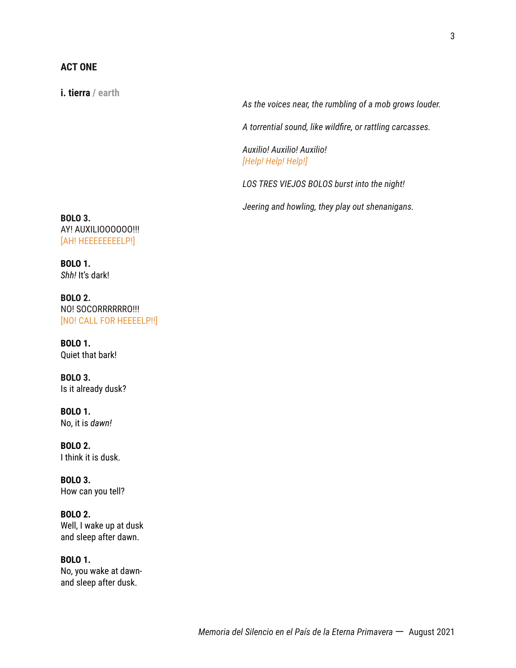# **ACT ONE**

**i. tierra / earth**

*As the voices near, the rumbling of a mob grows louder.*

*A torrential sound, like wildfire, or rattling carcasses.*

*Auxilio! Auxilio! Auxilio! [Help! Help! Help!]*

*LOS TRES VIEJOS BOLOS burst into the night!*

*Jeering and howling, they play out shenanigans.*

**BOLO 3.** AY! AUXILIOOOOOO!!! [AH! HEEEEEEEELP!]

**BOLO 1.** *Shh!* It's dark!

**BOLO 2.** NO! SOCORRRRRRO!!! [NO! CALL FOR HEEEELP!!]

**BOLO 1.** Quiet that bark!

**BOLO 3.** Is it already dusk?

**BOLO 1.** No, it is *dawn!*

**BOLO 2.** I think it is dusk.

**BOLO 3.** How can you tell?

**BOLO 2.** Well, I wake up at dusk and sleep after dawn.

**BOLO 1.** No, you wake at dawnand sleep after dusk.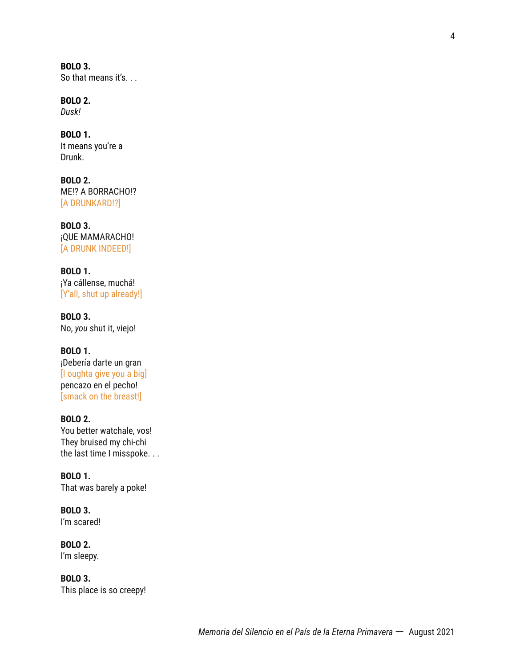**BOLO 3.** So that means it's. . .

**BOLO 2.** *Dusk!*

**BOLO 1.** It means you're a Drunk.

**BOLO 2.** ME!? A BORRACHO!? [A DRUNKARD!?]

**BOLO 3.** ¡QUE MAMARACHO! [A DRUNK INDEED!]

**BOLO 1.** ¡Ya cállense, muchá! [Y'all, shut up already!]

**BOLO 3.** No, *you* shut it, viejo!

**BOLO 1.** ¡Debería darte un gran [I oughta give you a big] pencazo en el pecho! [smack on the breast!]

**BOLO 2.** You better watchale, vos! They bruised my chi-chi the last time I misspoke. . .

**BOLO 1.** That was barely a poke!

**BOLO 3.** I'm scared!

**BOLO 2.** I'm sleepy.

**BOLO 3.** This place is so creepy!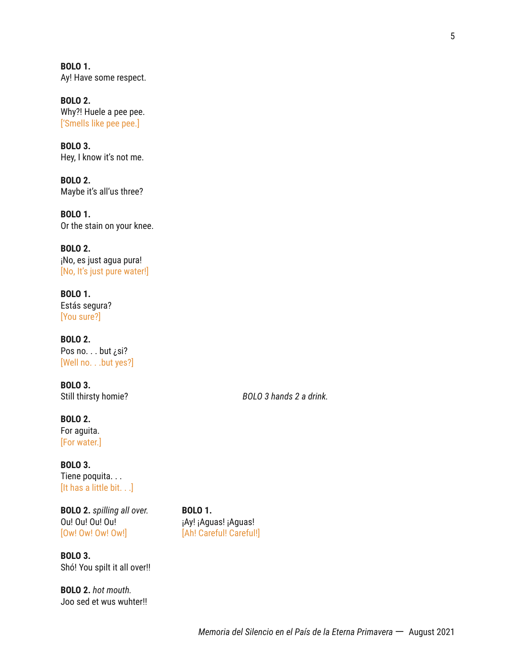**BOLO 1.** Ay! Have some respect.

**BOLO 2.** Why?! Huele a pee pee. ['Smells like pee pee.]

**BOLO 3.** Hey, I know it's not me.

**BOLO 2.** Maybe it's all'us three?

**BOLO 1.** Or the stain on your knee.

**BOLO 2.** ¡No, es just agua pura! [No, It's just pure water!]

**BOLO 1.** Estás segura? [You sure?]

**BOLO 2.** Pos no. . . but ¿si? [Well no. . .but yes?]

**BOLO 3.**

**BOLO 2.** For aguita. [For water.]

**BOLO 3.** Tiene poquita. . . [It has a little bit. . .]

**BOLO 2.** *spilling all over.* **BOLO 1.** Ou! Ou! Ou! Ou! iAy! ¡Ay! ¡Aguas! ¡Aguas! [Ow! Ow! Ow! Ow!] [Ah! Careful! Careful!]

**BOLO 3.** Shó! You spilt it all over!!

**BOLO 2.** *hot mouth.* Joo sed et wus wuhter!!

Still thirsty homie? *BOLO 3 hands 2 a drink.*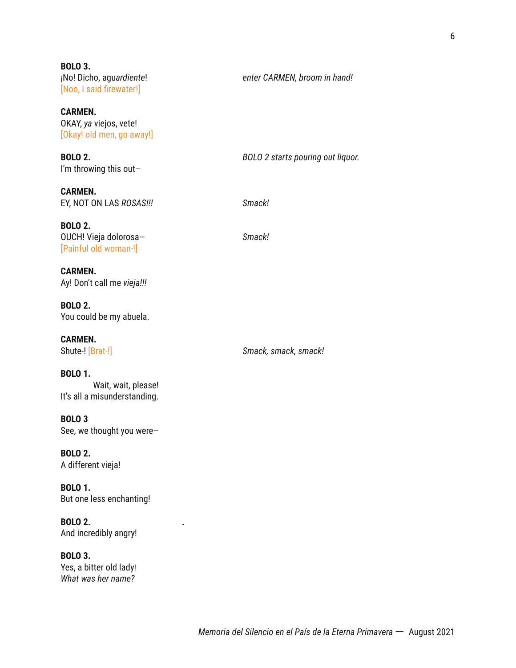**BOLO 3.** ¡No! Dicho, agu*ardiente*! *enter CARMEN, broom in hand!* [Noo, I said firewater!]

**CARMEN.** OKAY, *ya* viejos, vete! [Okay! old men, go away!]

**BOLO 2.** *BOLO 2 starts pouring out liquor.* I'm throwing this out—

**CARMEN.** EY, NOT ON LAS *ROSAS!!! Smack!*

**BOLO 2.** OUCH! Vieja dolorosa— *Smack!* [Painful old woman-!]

**CARMEN.** Ay! Don't call me *vieja!!!*

**BOLO 2.** You could be my abuela.

**CARMEN.**

Shute-! [Brat-!] *Smack, smack, smack!*

#### **BOLO 1.**

Wait, wait, please! It's all a misunderstanding.

**BOLO 3** See, we thought you were—

**BOLO 2.** A different vieja!

**BOLO 1.** But one less enchanting!

**BOLO 2. .** And incredibly angry!

**BOLO 3.** Yes, a bitter old lady! *What was her name?*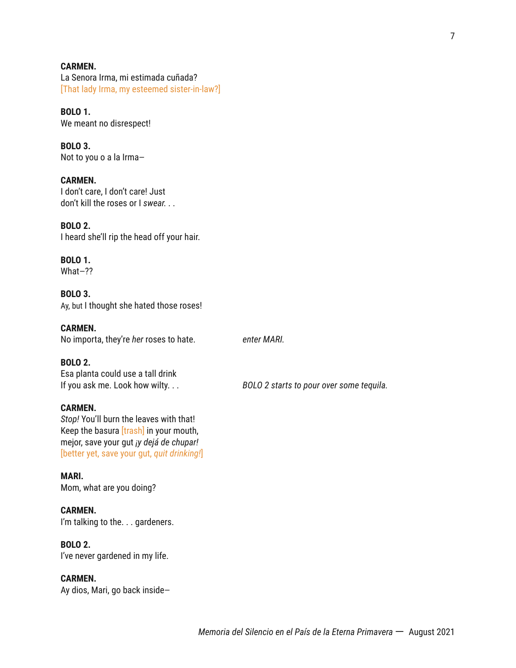#### **CARMEN.**

La Senora Irma, mi estimada cuñada? [That lady Irma, my esteemed sister-in-law?]

**BOLO 1.**

We meant no disrespect!

**BOLO 3.** Not to you o a la Irma—

#### **CARMEN.**

I don't care, I don't care! Just don't kill the roses or I *swear. . .*

#### **BOLO 2.**

I heard she'll rip the head off your hair.

#### **BOLO 1.**

What—??

#### **BOLO 3.**

Ay, but I thought she hated those roses!

#### **CARMEN.**

No importa, they're *her* roses to hate. *enter MARI.*

#### **BOLO 2.**

Esa planta could use a tall drink If you ask me. Look how wilty. . . *BOLO 2 starts to pour over some tequila.*

#### **CARMEN.**

*Stop!* You'll burn the leaves with that! Keep the basura *[trash]* in your mouth, mejor, save your gut *¡y dejá de chupar!* [better yet, save your gut, *quit drinking!*]

#### **MARI.**

Mom, what are you doing?

#### **CARMEN.**

I'm talking to the. . . gardeners.

# **BOLO 2.**

I've never gardened in my life.

#### **CARMEN.**

Ay dios, Mari, go back inside—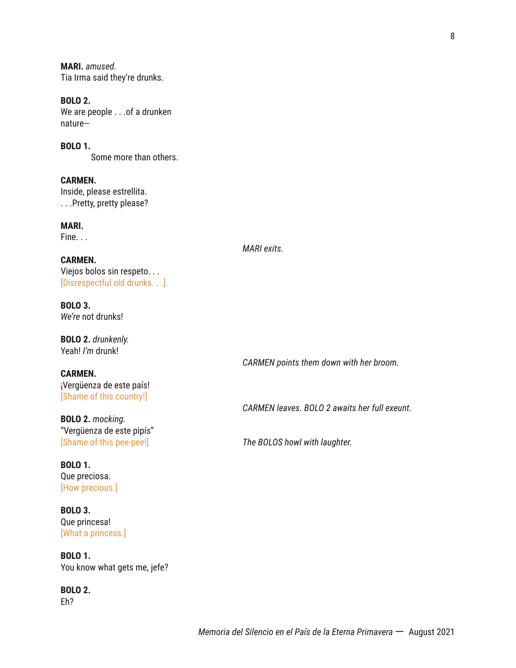8

**MARI.** *amused.* Tia Irma said they're drunks.

**BOLO 2.** We are people . . .of a drunken nature—

**BOLO 1.** Some more than others.

**CARMEN.** Inside, please estrellita. . . .Pretty, pretty please?

**MARI.** Fine. . .

*MARI exits.*

**CARMEN.** Viejos bolos sin respeto. . . [Disrespectful old drunks. . .]

**BOLO 3.** *We're* not drunks!

**BOLO 2.** *drunkenly.* Yeah! *I'm* drunk!

**CARMEN.** ¡Vergüenza de este país! [Shame of this country!]

**BOLO 2.** *mocking.* "Vergüenza de este pipís"

**BOLO 1.** Que preciosa. [How precious.]

**BOLO 3.** Que princesa! [What a princess.]

**BOLO 1.** You know what gets me, jefe?

**BOLO 2.** Eh?

*CARMEN points them down with her broom.*

*CARMEN leaves. BOLO 2 awaits her full exeunt.*

[Shame of this pee-pee!] *The BOLOS howl with laughter.*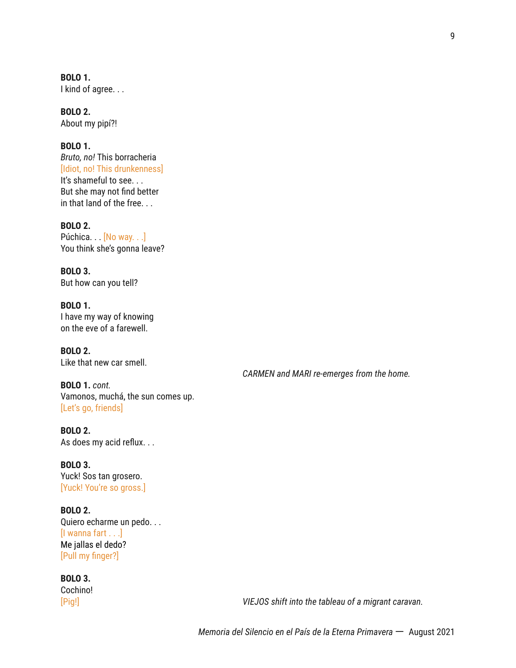**BOLO 1.** I kind of agree. . .

**BOLO 2.** About my pipí?!

# **BOLO 1.**

*Bruto, no!* This borracheria [Idiot, no! This drunkenness] It's shameful to see. . . But she may not find better in that land of the free. . .

**BOLO 2.** Púchica. .  $[No way...]$ You think she's gonna leave?

**BOLO 3.** But how can you tell?

**BOLO 1.** I have my way of knowing on the eve of a farewell.

**BOLO 2.** Like that new car smell.

**BOLO 1.** *cont.* Vamonos, muchá, the sun comes up. [Let's go, friends]

**BOLO 2.** As does my acid reflux. . .

**BOLO 3.** Yuck! Sos tan grosero. [Yuck! You're so gross.]

**BOLO 2.** Quiero echarme un pedo. . . [I wanna fart . . .] Me jallas el dedo? [Pull my finger?]

**BOLO 3.** Cochino!

[Pig!] *VIEJOS shift into the tableau of a migrant caravan.*

*CARMEN and MARI re-emerges from the home.*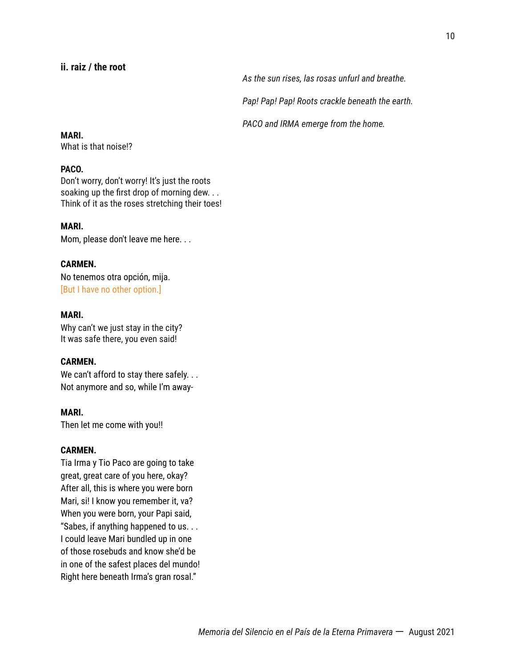# **ii. raiz / the root**

*As the sun rises, las rosas unfurl and breathe.*

*Pap! Pap! Pap! Roots crackle beneath the earth.*

*PACO and IRMA emerge from the home.*

#### **MARI.**

What is that noise!?

#### **PACO.**

Don't worry, don't worry! It's just the roots soaking up the first drop of morning dew. . . Think of it as the roses stretching their toes!

#### **MARI.**

Mom, please don't leave me here. . .

#### **CARMEN.**

No tenemos otra opción, mija. [But I have no other option.]

#### **MARI.**

Why can't we just stay in the city? It was safe there, you even said!

#### **CARMEN.**

We can't afford to stay there safely. . . Not anymore and so, while I'm away-

#### **MARI.**

Then let me come with you!!

# **CARMEN.**

Tia Irma y Tio Paco are going to take great, great care of you here, okay? After all, this is where you were born Mari, si! I know you remember it, va? When you were born, your Papi said, "Sabes, if anything happened to us. . . I could leave Mari bundled up in one of those rosebuds and know she'd be in one of the safest places del mundo! Right here beneath Irma's gran rosal."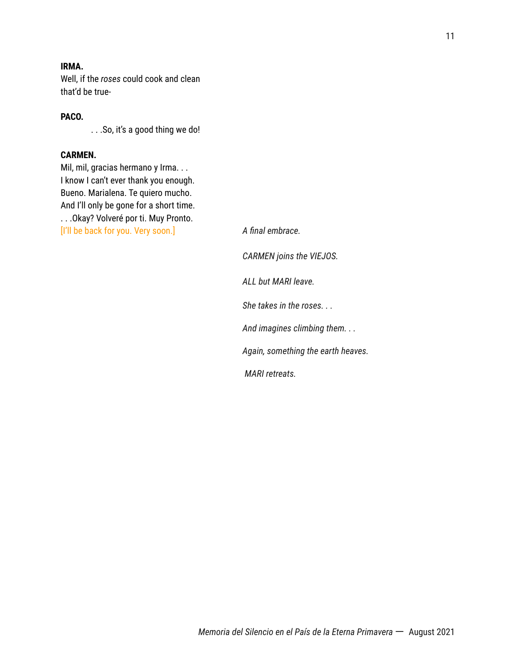Well, if the *roses* could cook and clean that'd be true-

# **PACO.**

. . .So, it's a good thing we do!

#### **CARMEN.**

Mil, mil, gracias hermano y Irma. . . I know I can't ever thank you enough. Bueno. Marialena. Te quiero mucho. And I'll only be gone for a short time. . . .Okay? Volveré por ti. Muy Pronto. [I'll be back for you. Very soon.] *A final embrace.*

*CARMEN joins the VIEJOS. ALL but MARI leave. She takes in the roses. . . And imagines climbing them. . . Again, something the earth heaves. MARI retreats.*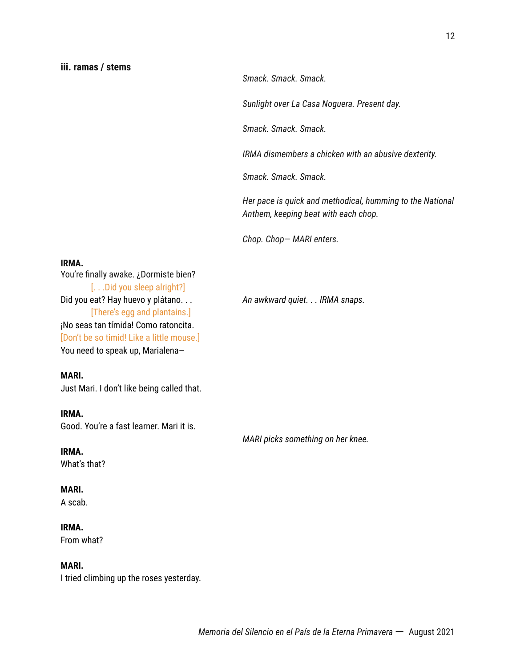*Smack. Smack. Smack.*

*Sunlight over La Casa Noguera. Present day.*

*Smack. Smack. Smack.*

*IRMA dismembers a chicken with an abusive dexterity.*

*Smack. Smack. Smack.*

*Her pace is quick and methodical, humming to the National Anthem, keeping beat with each chop.*

*Chop. Chop*— *MARI enters.*

#### **IRMA.**

You're finally awake. ¿Dormiste bien? [. . .Did you sleep alright?] Did you eat? Hay huevo y plátano. . . *An awkward quiet. . . IRMA snaps.* [There's egg and plantains.] ¡No seas tan tímida! Como ratoncita. [Don't be so timid! Like a little mouse.] You need to speak up, Marialena—

#### **MARI.**

Just Mari. I don't like being called that.

#### **IRMA.**

Good. You're a fast learner. Mari it is.

**IRMA.** What's that?

#### **MARI.**

A scab.

#### **IRMA.**

From what?

#### **MARI.**

I tried climbing up the roses yesterday.

*MARI picks something on her knee.*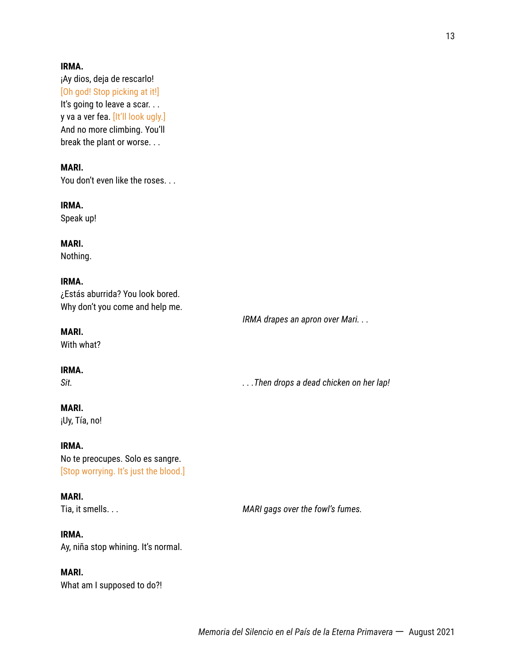¡Ay dios, deja de rescarlo! [Oh god! Stop picking at it!] It's going to leave a scar... y va a ver fea. [It'll look ugly.] And no more climbing. You'll break the plant or worse. . .

# **MARI.**

You don't even like the roses. . .

#### **IRMA.**

Speak up!

### **MARI.**

Nothing.

#### **IRMA.**

¿Estás aburrida? You look bored. Why don't you come and help me.

#### **MARI.**

With what?

#### **IRMA.**

*Sit. . . .Then drops a dead chicken on her lap!*

*IRMA drapes an apron over Mari. . .*

# **MARI.**

¡Uy, Tía, no!

# **IRMA.**

No te preocupes. Solo es sangre. [Stop worrying. It's just the blood.]

#### **MARI.**

#### **IRMA.**

Ay, niña stop whining. It's normal.

# **MARI.**

What am I supposed to do?!

Tia, it smells. . . *MARI gags over the fowl's fumes.*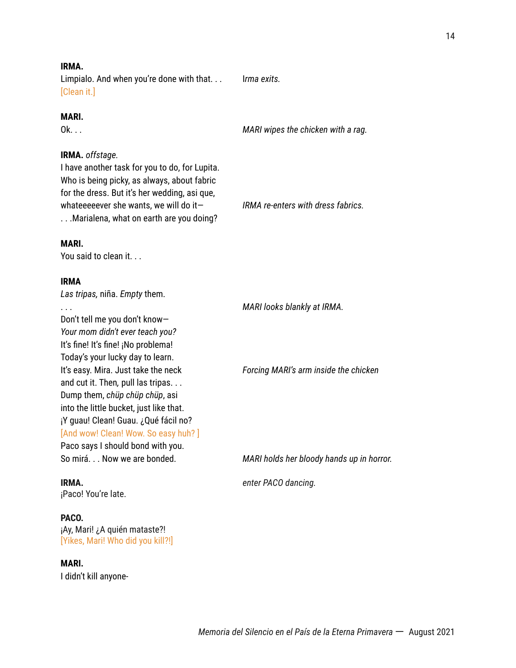Limpialo. And when you're done with that. . . I*rma exits.* [Clean it.]

#### **MARI.**

Ok. . . *MARI wipes the chicken with a rag.*

#### **IRMA.** *offstage.*

I have another task for you to do, for Lupita. Who is being picky, as always, about fabric for the dress. But it's her wedding, asi que, whateeeeever she wants, we will do it— *IRMA re-enters with dress fabrics.* . . .Marialena, what on earth are you doing?

#### **MARI.**

You said to clean it. . .

#### **IRMA**

*Las tripas,* niña. *Empty* them.

Don't tell me you don't know— *Your mom didn't ever teach you?* It's fine! It's fine! ¡No problema! Today's your lucky day to learn. It's easy. Mira. Just take the neck *Forcing MARI's arm inside the chicken* and cut it. Then*,* pull las tripas. . . Dump them, *chüp chüp chüp*, asi into the little bucket, just like that. ¡Y guau! Clean! Guau. ¿Qué fácil no? [And wow! Clean! Wow. So easy huh?] Paco says I should bond with you.

¡Paco! You're late.

#### **PACO.**

¡Ay, Mari! ¿A quién mataste?! [Yikes, Mari! Who did you kill?!]

#### **MARI.**

I didn't kill anyone-

. . . *MARI looks blankly at IRMA.*

So mirá. . . Now we are bonded. *MARI holds her bloody hands up in horror.*

**IRMA.** *enter PACO dancing.*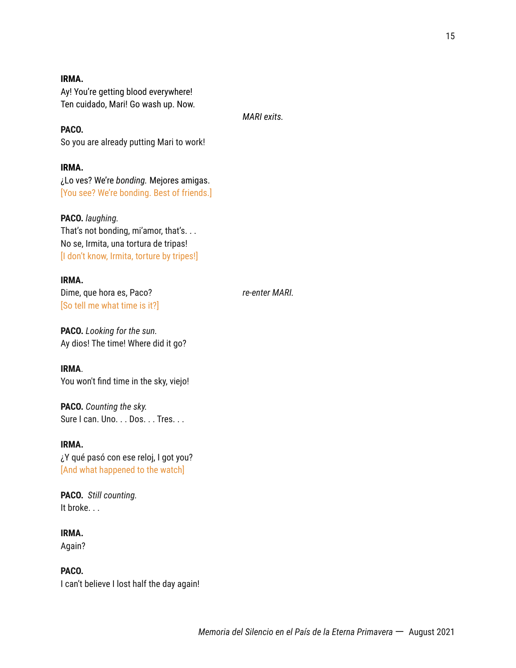Ay! You're getting blood everywhere! Ten cuidado, Mari! Go wash up. Now.

*MARI exits.*

**PACO.** So you are already putting Mari to work!

**IRMA.** ¿Lo ves? We're *bonding.* Mejores amigas. [You see? We're bonding. Best of friends.]

**PACO.** *laughing.* That's not bonding, mi'amor, that's. . . No se, Irmita, una tortura de tripas! [I don't know, Irmita, torture by tripes!]

**IRMA.** Dime, que hora es, Paco? *re-enter MARI.* [So tell me what time is it?]

**PACO.** *Looking for the sun.* Ay dios! The time! Where did it go?

**IRMA**. You won't find time in the sky, viejo!

**PACO.** *Counting the sky.* Sure I can. Uno. . . Dos. . . Tres. . .

**IRMA.** ¿Y qué pasó con ese reloj, I got you? [And what happened to the watch]

**PACO.** *Still counting.* It broke. . .

**IRMA.** Again?

**PACO.** I can't believe I lost half the day again!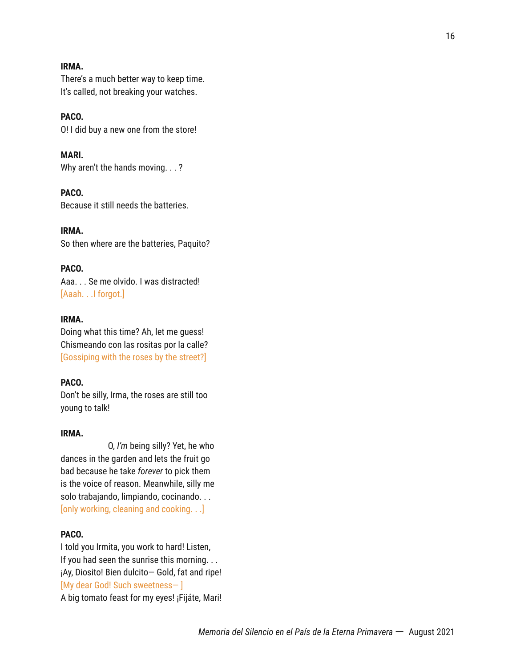There's a much better way to keep time. It's called, not breaking your watches.

# **PACO.**

O! I did buy a new one from the store!

**MARI.** Why aren't the hands moving. . . ?

**PACO.** Because it still needs the batteries.

**IRMA.** So then where are the batteries, Paquito?

#### **PACO.**

Aaa. . . Se me olvido. I was distracted! [Aaah. . .I forgot.]

#### **IRMA.**

Doing what this time? Ah, let me guess! Chismeando con las rositas por la calle? [Gossiping with the roses by the street?]

#### **PACO.**

Don't be silly, Irma, the roses are still too young to talk!

#### **IRMA.**

O, *I'm* being silly? Yet, he who dances in the garden and lets the fruit go bad because he take *forever* to pick them is the voice of reason. Meanwhile, silly me solo trabajando, limpiando, cocinando. . . [only working, cleaning and cooking. . .]

# **PACO.**

I told you Irmita, you work to hard! Listen, If you had seen the sunrise this morning. . . ¡Ay, Diosito! Bien dulcito— Gold, fat and ripe! [My dear God! Such sweetness— ] A big tomato feast for my eyes! ¡Fijáte, Mari!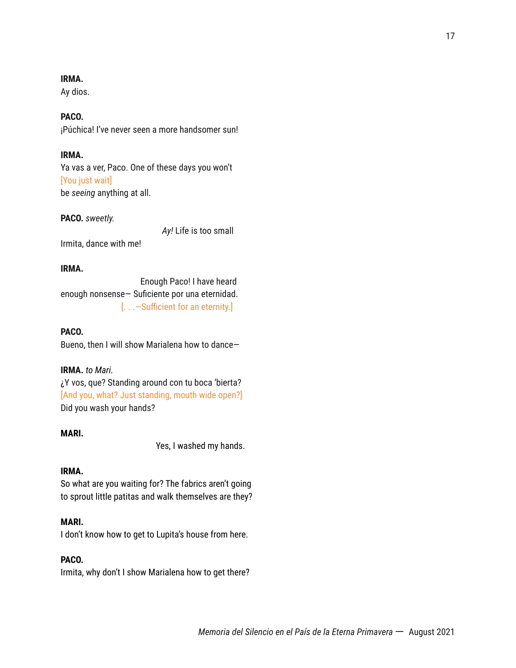Ay dios.

# **PACO.**

¡Púchica! I've never seen a more handsomer sun!

# **IRMA.**

Ya vas a ver, Paco. One of these days you won't [You just wait] be *seeing* anything at all.

#### **PACO.** *sweetly.*

*Ay!* Life is too small

Irmita, dance with me!

#### **IRMA.**

Enough Paco! I have heard enough nonsense— Suficiente por una eternidad. [. . .—Sufficient for an eternity.]

#### **PACO.**

Bueno, then I will show Marialena how to dance—

#### **IRMA.** *to Mari.*

¿Y vos, que? Standing around con tu boca 'bierta? [And you, what? Just standing, mouth wide open?] Did you wash your hands?

#### **MARI.**

Yes, I washed my hands.

# **IRMA.**

So what are you waiting for? The fabrics aren't going to sprout little patitas and walk themselves are they?

# **MARI.**

I don't know how to get to Lupita's house from here.

# **PACO.**

Irmita, why don't I show Marialena how to get there?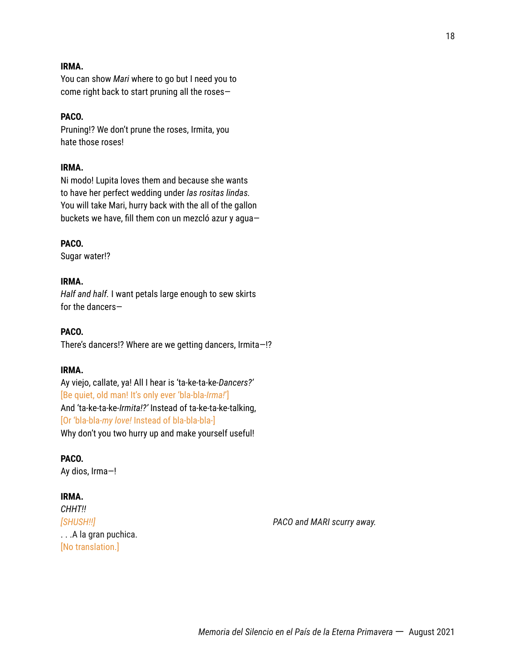You can show *Mari* where to go but I need you to come right back to start pruning all the roses—

# **PACO.**

Pruning!? We don't prune the roses, Irmita, you hate those roses!

#### **IRMA.**

Ni modo! Lupita loves them and because she wants to have her perfect wedding under *las rositas lindas.* You will take Mari, hurry back with the all of the gallon buckets we have, fill them con un mezcló azur y agua—

#### **PACO.**

Sugar water!?

#### **IRMA.**

*Half and half.* I want petals large enough to sew skirts for the dancers—

#### **PACO.**

There's dancers!? Where are we getting dancers, Irmita—!?

#### **IRMA.**

Ay viejo, callate, ya! All I hear is 'ta-ke-ta-ke*-Dancers?'* [Be quiet, old man! It's only ever 'bla-bla-*Irma!*'] And 'ta-ke-ta-ke-*Irmita!?'* Instead of ta-ke-ta-ke-talking, [Or 'bla-bla-*my love!* Instead of bla-bla-bla-] Why don't you two hurry up and make yourself useful!

#### **PACO.**

Ay dios, Irma—!

#### **IRMA.**

*CHHT!!* . . .A la gran puchica. [No translation.]

*[SHUSH!!] PACO and MARI scurry away.*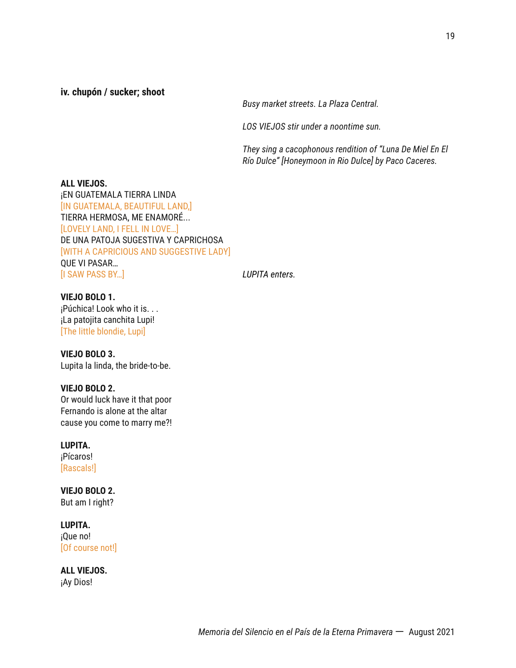**iv. chupón / sucker; shoot**

*Busy market streets. La Plaza Central.*

*LOS VIEJOS stir under a noontime sun.*

*They sing a cacophonous rendition of "Luna De Miel En El Río Dulce" [Honeymoon in Rio Dulce] by Paco Caceres.*

**ALL VIEJOS.** ¡EN GUATEMALA TIERRA LINDA [IN GUATEMALA, BEAUTIFUL LAND,] TIERRA HERMOSA, ME ENAMORÉ... [LOVELY LAND, I FELL IN LOVE…] DE UNA PATOJA SUGESTIVA Y CAPRICHOSA [WITH A CAPRICIOUS AND SUGGESTIVE LADY] QUE VI PASAR… [I SAW PASS BY…] *LUPITA enters.*

**VIEJO BOLO 1.** ¡Púchica! Look who it is. . . ¡La patojita canchita Lupi! [The little blondie, Lupi]

**VIEJO BOLO 3.** Lupita la linda, the bride-to-be.

**VIEJO BOLO 2.** Or would luck have it that poor

Fernando is alone at the altar cause you come to marry me?!

**LUPITA.**

¡Pícaros! [Rascals!]

**VIEJO BOLO 2.** But am I right?

**LUPITA.** ¡Que no! [Of course not!]

**ALL VIEJOS.** ¡Ay Dios!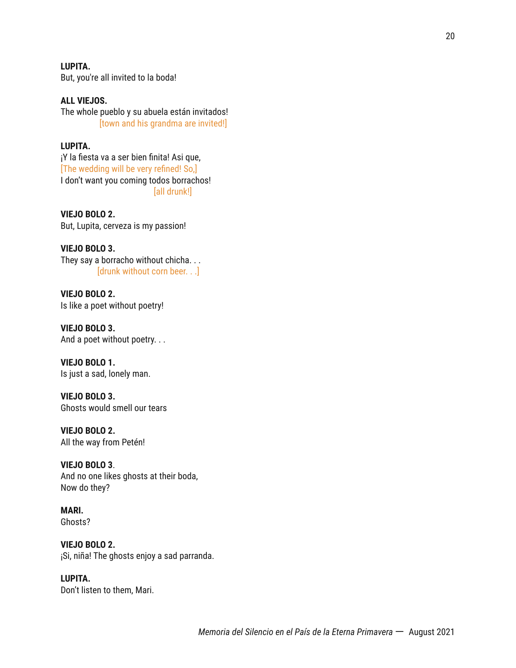**LUPITA.** But, you're all invited to la boda!

**ALL VIEJOS.** The whole pueblo y su abuela están invitados! [town and his grandma are invited!]

#### **LUPITA.**

¡Y la fiesta va a ser bien finita! Asi que, [The wedding will be very refined! So,] I don't want you coming todos borrachos! [all drunk!]

**VIEJO BOLO 2.** But, Lupita, cerveza is my passion!

**VIEJO BOLO 3.** They say a borracho without chicha. . . [drunk without corn beer. . .]

**VIEJO BOLO 2.** Is like a poet without poetry!

**VIEJO BOLO 3.** And a poet without poetry. . .

**VIEJO BOLO 1.** Is just a sad, lonely man.

**VIEJO BOLO 3.** Ghosts would smell our tears

**VIEJO BOLO 2.** All the way from Petén!

**VIEJO BOLO 3**. And no one likes ghosts at their boda, Now do they?

**MARI.** Ghosts?

**VIEJO BOLO 2.** ¡Si, niña! The ghosts enjoy a sad parranda.

**LUPITA.** Don't listen to them, Mari.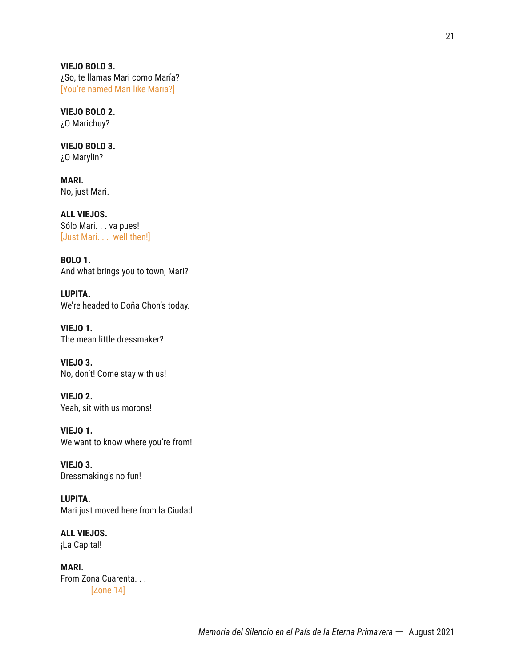**VIEJO BOLO 3.** ¿So, te llamas Mari como María? [You're named Mari like Maria?]

**VIEJO BOLO 2.** ¿O Marichuy?

**VIEJO BOLO 3.** ¿O Marylin?

**MARI.** No, just Mari.

**ALL VIEJOS.** Sólo Mari. . . va pues! [Just Mari. . . well then!]

**BOLO 1.** And what brings you to town, Mari?

**LUPITA.** We're headed to Doña Chon's today.

**VIEJO 1.** The mean little dressmaker?

**VIEJO 3.** No, don't! Come stay with us!

**VIEJO 2.** Yeah, sit with us morons!

**VIEJO 1.** We want to know where you're from!

**VIEJO 3.** Dressmaking's no fun!

**LUPITA.** Mari just moved here from la Ciudad.

**ALL VIEJOS.** ¡La Capital!

**MARI.** From Zona Cuarenta. . . [Zone 14]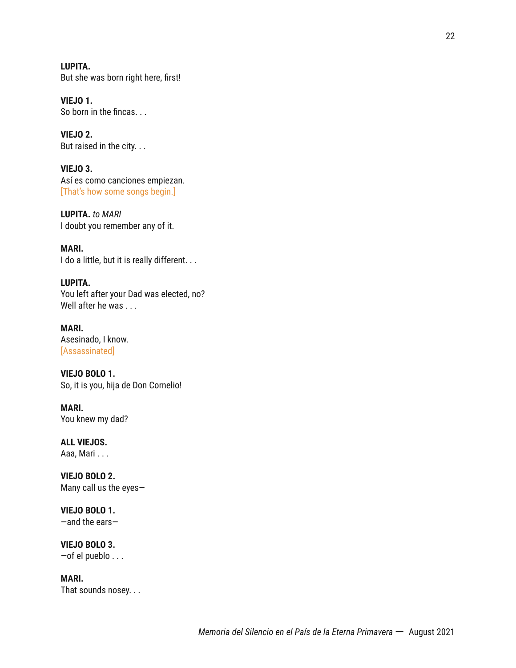**LUPITA.** But she was born right here, first!

**VIEJO 1.** So born in the fincas. . .

**VIEJO 2.** But raised in the city. . .

**VIEJO 3.** Así es como canciones empiezan. [That's how some songs begin.]

**LUPITA.** *to MARI* I doubt you remember any of it.

**MARI.** I do a little, but it is really different. . .

**LUPITA.** You left after your Dad was elected, no? Well after he was . . .

**MARI.** Asesinado, I know. [Assassinated]

**VIEJO BOLO 1.** So, it is you, hija de Don Cornelio!

**MARI.** You knew my dad?

**ALL VIEJOS.** Aaa, Mari . . .

**VIEJO BOLO 2.** Many call us the eyes—

**VIEJO BOLO 1.** —and the ears—

**VIEJO BOLO 3.** —of el pueblo . . .

**MARI.** That sounds nosey. . .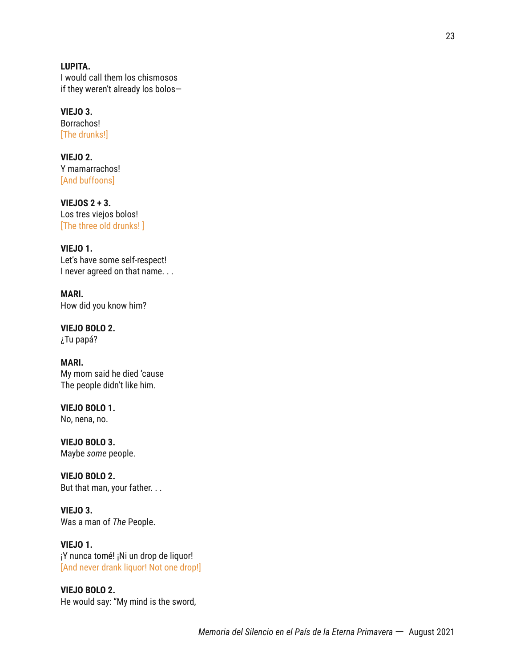**LUPITA.** I would call them los chismosos if they weren't already los bolos—

**VIEJO 3.** Borrachos! [The drunks!]

**VIEJO 2.** Y mamarrachos! [And buffoons]

**VIEJOS 2 + 3.** Los tres viejos bolos! [The three old drunks! ]

**VIEJO 1.** Let's have some self-respect! I never agreed on that name. . .

**MARI.** How did you know him?

**VIEJO BOLO 2.** ¿Tu papá?

**MARI.** My mom said he died 'cause The people didn't like him.

**VIEJO BOLO 1.**

No, nena, no.

**VIEJO BOLO 3.** Maybe *some* people.

**VIEJO BOLO 2.** But that man, your father. . .

**VIEJO 3.** Was a man of *The* People.

**VIEJO 1.** ¡Y nunca tomé! ¡Ni un drop de liquor! [And never drank liquor! Not one drop!]

**VIEJO BOLO 2.** He would say: "My mind is the sword,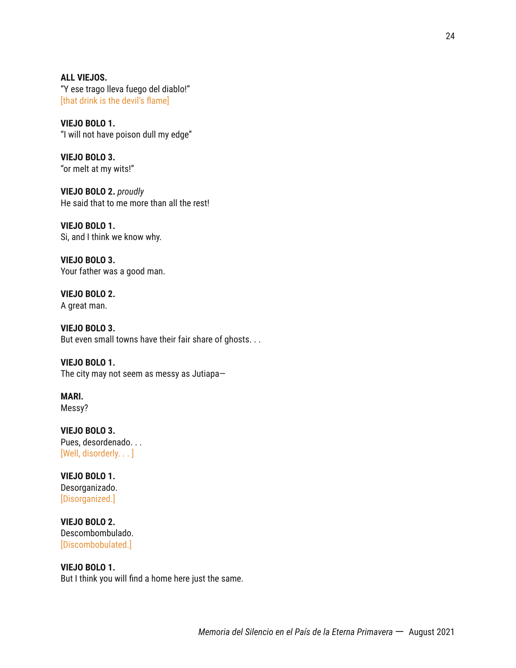**ALL VIEJOS.** "Y ese trago lleva fuego del diablo!" [that drink is the devil's flame]

**VIEJO BOLO 1.** "I will not have poison dull my edge"

**VIEJO BOLO 3.** "or melt at my wits!"

**VIEJO BOLO 2.** *proudly* He said that to me more than all the rest!

**VIEJO BOLO 1.** Si, and I think we know why.

**VIEJO BOLO 3.** Your father was a good man.

**VIEJO BOLO 2.** A great man.

**VIEJO BOLO 3.** But even small towns have their fair share of ghosts. . .

**VIEJO BOLO 1.** The city may not seem as messy as Jutiapa—

**MARI.** Messy?

**VIEJO BOLO 3.** Pues, desordenado. . . [Well, disorderly. . . ]

**VIEJO BOLO 1.** Desorganizado. [Disorganized.]

**VIEJO BOLO 2.** Descombombulado. [Discombobulated.]

# **VIEJO BOLO 1.** But I think you will find a home here just the same.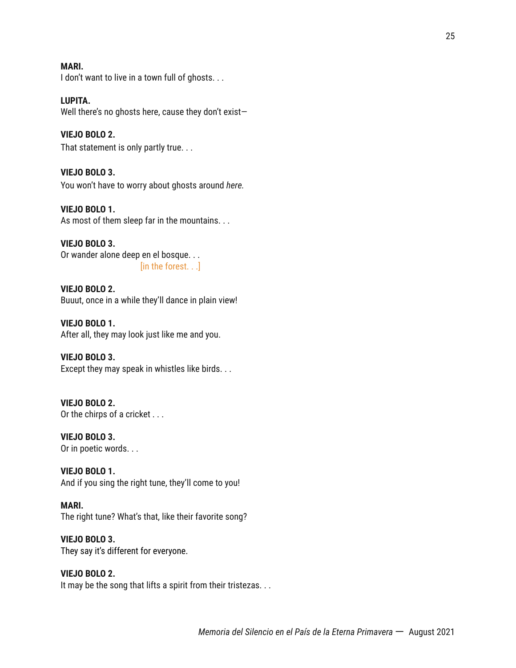#### **MARI.**

I don't want to live in a town full of ghosts...

#### **LUPITA.**

Well there's no ghosts here, cause they don't exist—

#### **VIEJO BOLO 2.**

That statement is only partly true. . .

#### **VIEJO BOLO 3.**

You won't have to worry about ghosts around *here.*

#### **VIEJO BOLO 1.**

As most of them sleep far in the mountains. . .

#### **VIEJO BOLO 3.** Or wander alone deep en el bosque. . . [in the forest. . .]

**VIEJO BOLO 2.** Buuut, once in a while they'll dance in plain view!

**VIEJO BOLO 1.** After all, they may look just like me and you.

#### **VIEJO BOLO 3.** Except they may speak in whistles like birds. . .

**VIEJO BOLO 2.** Or the chirps of a cricket . . .

**VIEJO BOLO 3.** Or in poetic words. . .

**VIEJO BOLO 1.** And if you sing the right tune, they'll come to you!

# **MARI.**

The right tune? What's that, like their favorite song?

# **VIEJO BOLO 3.** They say it's different for everyone.

#### **VIEJO BOLO 2.** It may be the song that lifts a spirit from their tristezas. . .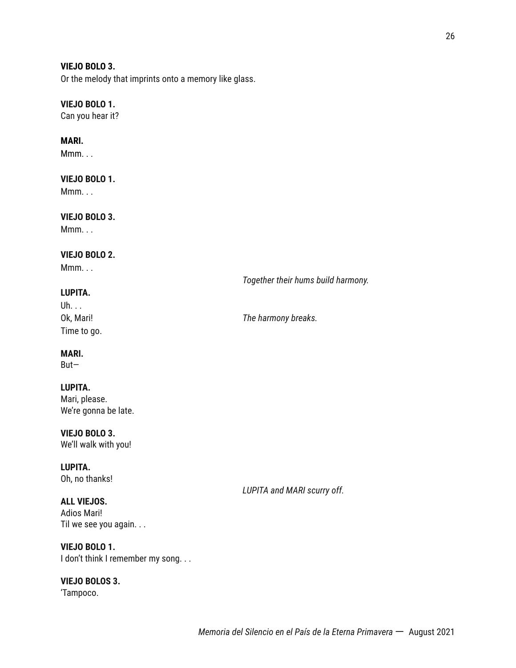#### **VIEJO BOLO 3.**

Or the melody that imprints onto a memory like glass.

#### **VIEJO BOLO 1.**

Can you hear it?

# **MARI.**

Mmm. . .

# **VIEJO BOLO 1.**

Mmm. . .

# **VIEJO BOLO 3.**

Mmm. . .

#### **VIEJO BOLO 2.**

Mmm. . .

# **LUPITA.**

Uh. . . Time to go.

Ok, Mari! *The harmony breaks.*

*Together their hums build harmony.*

#### **MARI.**

But—

#### **LUPITA.**

Mari, please. We're gonna be late.

**VIEJO BOLO 3.** We'll walk with you!

**LUPITA.** Oh, no thanks!

**ALL VIEJOS.** Adios Mari! Til we see you again. . .

**VIEJO BOLO 1.** I don't think I remember my song. . .

**VIEJO BOLOS 3.** 'Tampoco.

*LUPITA and MARI scurry off.*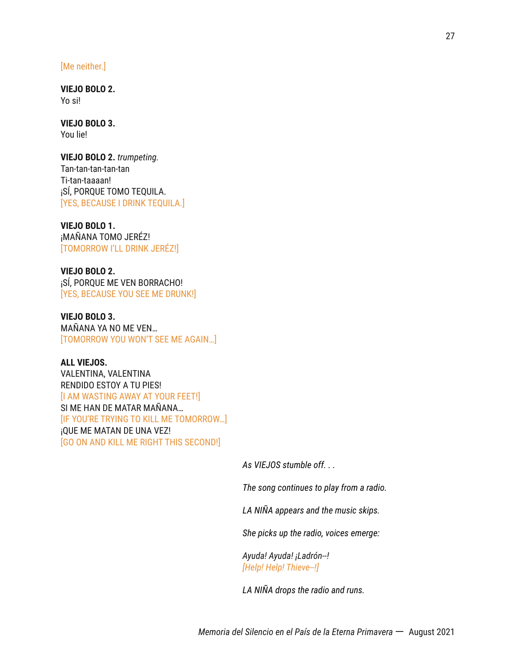#### [Me neither.]

**VIEJO BOLO 2.** Yo si!

**VIEJO BOLO 3.** You lie!

**VIEJO BOLO 2.** *trumpeting.* Tan-tan-tan-tan-tan Ti-tan-taaaan! ¡SÍ, PORQUE TOMO TEQUILA. [YES, BECAUSE I DRINK TEQUILA.]

#### **VIEJO BOLO 1.**

¡MAÑANA TOMO JERÉZ! [TOMORROW I'LL DRINK JERÉZ!]

**VIEJO BOLO 2.** ¡SÍ, PORQUE ME VEN BORRACHO! [YES, BECAUSE YOU SEE ME DRUNK!]

**VIEJO BOLO 3.** MAÑANA YA NO ME VEN… [TOMORROW YOU WON'T SEE ME AGAIN…]

**ALL VIEJOS.** VALENTINA, VALENTINA RENDIDO ESTOY A TU PIES! [I AM WASTING AWAY AT YOUR FEET!] SI ME HAN DE MATAR MAÑANA… [IF YOU'RE TRYING TO KILL ME TOMORROW…] ¡QUE ME MATAN DE UNA VEZ! [GO ON AND KILL ME RIGHT THIS SECOND!]

*As VIEJOS stumble off. . .*

*The song continues to play from a radio.*

*LA NIÑA appears and the music skips.*

*She picks up the radio, voices emerge:*

*Ayuda! Ayuda! ¡Ladrón--! [Help! Help! Thieve--!]*

*LA NIÑA drops the radio and runs.*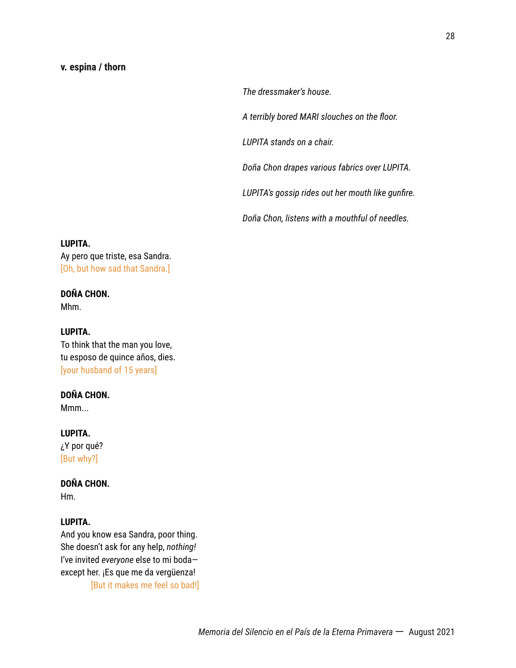#### **v. espina / thorn**

*The dressmaker's house.*

*A terribly bored MARI slouches on the floor.*

*LUPITA stands on a chair.*

*Doña Chon drapes various fabrics over LUPITA.*

*LUPITA's gossip rides out her mouth like gunfire.*

*Doña Chon, listens with a mouthful of needles.*

#### **LUPITA.**

Ay pero que triste, esa Sandra. [Oh, but how sad that Sandra.]

#### **DOÑA CHON.**

Mhm.

# **LUPITA.**

To think that the man you love, tu esposo de quince años, dies. [your husband of 15 years]

# **DOÑA CHON.**

Mmm...

#### **LUPITA.**

¿Y por qué? [But why?]

# **DOÑA CHON.**

Hm.

#### **LUPITA.**

And you know esa Sandra, poor thing. She doesn't ask for any help, *nothing!* I've invited *everyone* else to mi boda except her. ¡Es que me da vergüenza! [But it makes me feel so bad!]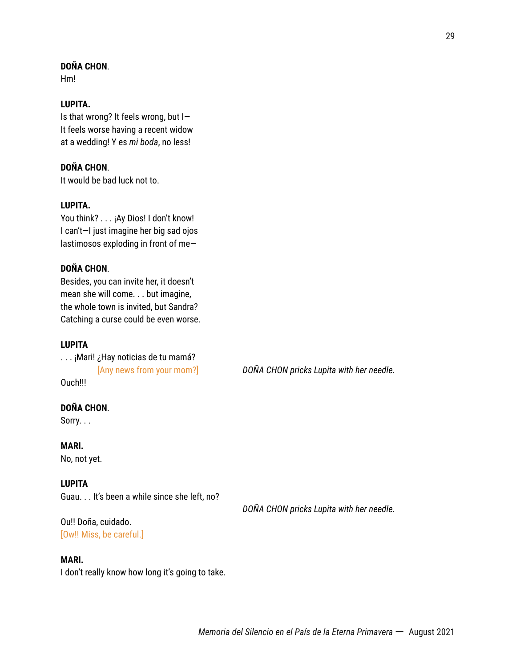# **DOÑA CHON**.

Hm!

#### **LUPITA.**

Is that wrong? It feels wrong, but I— It feels worse having a recent widow at a wedding! Y es *mi boda*, no less!

### **DOÑA CHON**.

It would be bad luck not to.

# **LUPITA.**

You think? . . . ¡Ay Dios! I don't know! I can't—I just imagine her big sad ojos lastimosos exploding in front of me—

#### **DOÑA CHON**.

Besides, you can invite her, it doesn't mean she will come. . . but imagine, the whole town is invited, but Sandra? Catching a curse could be even worse.

## **LUPITA**

. . . ¡Mari! ¿Hay noticias de tu mamá? Ouch!!!

[Any news from your mom?] *DOÑA CHON pricks Lupita with her needle.*

# **DOÑA CHON**.

Sorry. . .

**MARI.** No, not yet.

#### **LUPITA**

Guau. . . It's been a while since she left, no?

Ou!! Doña, cuidado. [Ow!! Miss, be careful.]

#### **MARI.**

I don't really know how long it's going to take.

*DOÑA CHON pricks Lupita with her needle.*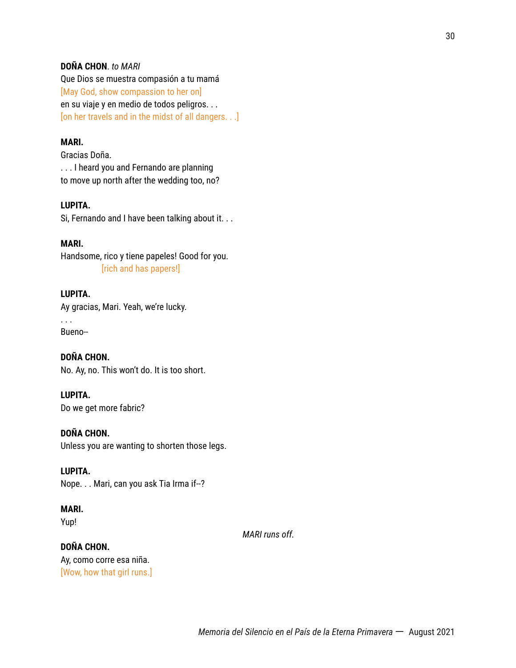## **DOÑA CHON**. *to MARI*

Que Dios se muestra compasión a tu mamá [May God, show compassion to her on] en su viaje y en medio de todos peligros. . . [on her travels and in the midst of all dangers. . .]

#### **MARI.**

Gracias Doña. . . . I heard you and Fernando are planning to move up north after the wedding too, no?

# **LUPITA.**

Si, Fernando and I have been talking about it. . .

# **MARI.**

Handsome, rico y tiene papeles! Good for you. [rich and has papers!]

# **LUPITA.**

Ay gracias, Mari. Yeah, we're lucky.

. . . Bueno--

**DOÑA CHON.** No. Ay, no. This won't do. It is too short.

# **LUPITA.**

Do we get more fabric?

#### **DOÑA CHON.**

Unless you are wanting to shorten those legs.

#### **LUPITA.**

Nope. . . Mari, can you ask Tia Irma if--?

# **MARI.**

Yup!

*MARI runs off.*

# **DOÑA CHON.** Ay, como corre esa niña. [Wow, how that girl runs.]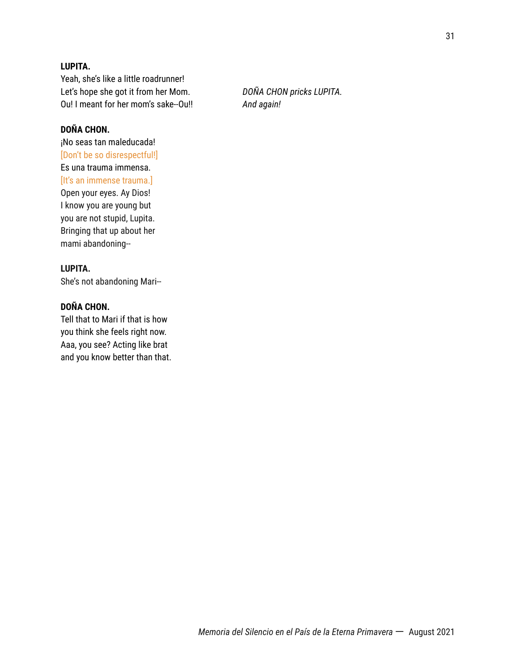# **LUPITA.**

Yeah, she's like a little roadrunner! Let's hope she got it from her Mom. *DOÑA CHON pricks LUPITA.* Ou! I meant for her mom's sake--Ou!! *And again!*

# **DOÑA CHON.**

¡No seas tan maleducada! [Don't be so disrespectful!] Es una trauma immensa. [It's an immense trauma.] Open your eyes. Ay Dios! I know you are young but you are not stupid, Lupita. Bringing that up about her mami abandoning--

# **LUPITA.**

She's not abandoning Mari--

# **DOÑA CHON.**

Tell that to Mari if that is how you think she feels right now. Aaa, you see? Acting like brat and you know better than that.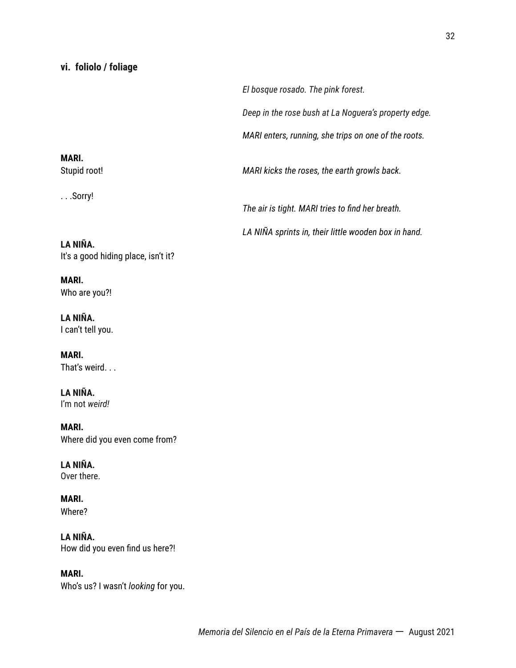# **vi. foliolo / foliage**

*El bosque rosado. The pink forest. Deep in the rose bush at La Noguera's property edge. MARI enters, running, she trips on one of the roots.*

**MARI.** Stupid root! *MARI kicks the roses, the earth growls back.*

. . .Sorry!

*The air is tight. MARI tries to find her breath.*

*LA NIÑA sprints in, their little wooden box in hand.*

**LA NIÑA.** It's a good hiding place, isn't it?

**MARI.** Who are you?!

**LA NIÑA.** I can't tell you.

**MARI.** That's weird. . .

**LA NIÑA.** I'm not *weird!*

**MARI.** Where did you even come from?

**LA NIÑA.** Over there.

**MARI.** Where?

**LA NIÑA.** How did you even find us here?!

**MARI.** Who's us? I wasn't *looking* for you.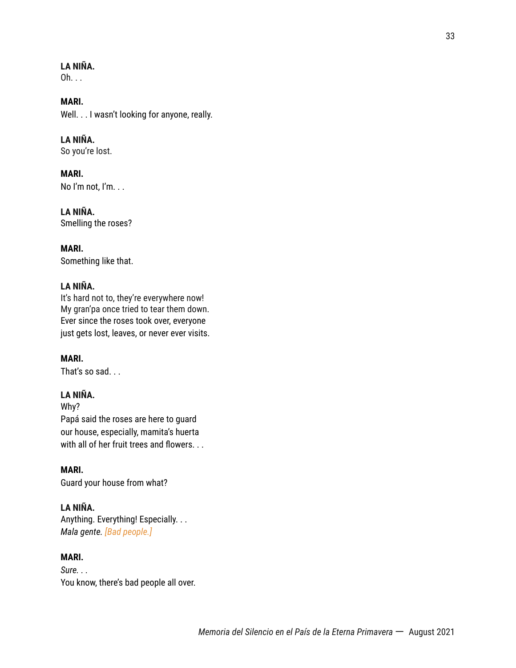# **LA NIÑA.**

 $Oh. . .$ 

**MARI.** Well. . . I wasn't looking for anyone, really.

**LA NIÑA.**

So you're lost.

**MARI.** No I'm not, I'm. . .

**LA NIÑA.** Smelling the roses?

**MARI.** Something like that.

#### **LA NIÑA.**

It's hard not to, they're everywhere now! My gran'pa once tried to tear them down. Ever since the roses took over, everyone just gets lost, leaves, or never ever visits.

# **MARI.**

That's so sad. . .

# **LA NIÑA.**

Why? Papá said the roses are here to guard our house, especially, mamita's huerta with all of her fruit trees and flowers. . .

# **MARI.**

Guard your house from what?

# **LA NIÑA.**

Anything. Everything! Especially. . . *Mala gente. [Bad people.]*

# **MARI.**

*Sure. . .* You know, there's bad people all over.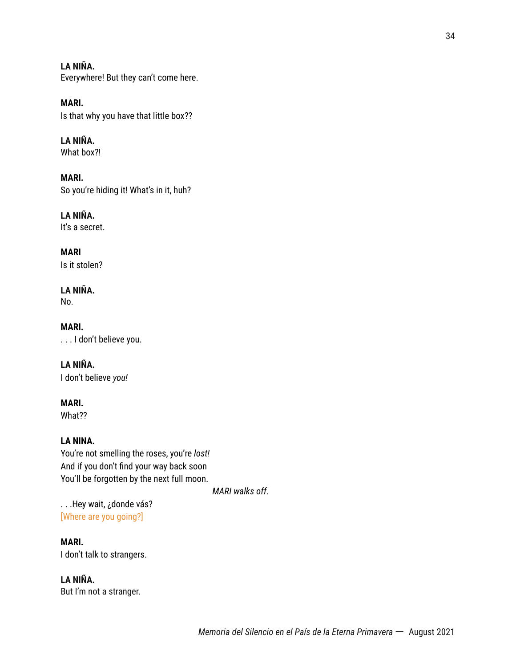**LA NIÑA.** Everywhere! But they can't come here.

**MARI.** Is that why you have that little box??

**LA NIÑA.** What box?!

**MARI.** So you're hiding it! What's in it, huh?

**LA NIÑA.** It's a secret.

**MARI** Is it stolen?

**LA NIÑA.** No.

**MARI.** . . . I don't believe you.

**LA NIÑA.** I don't believe *you!*

**MARI.**

What??

# **LA NINA.**

You're not smelling the roses, you're *lost!* And if you don't find your way back soon You'll be forgotten by the next full moon.

*MARI walks off.*

. . .Hey wait, ¿donde vás? [Where are you going?]

**MARI.** I don't talk to strangers.

**LA NIÑA.** But I'm not a stranger.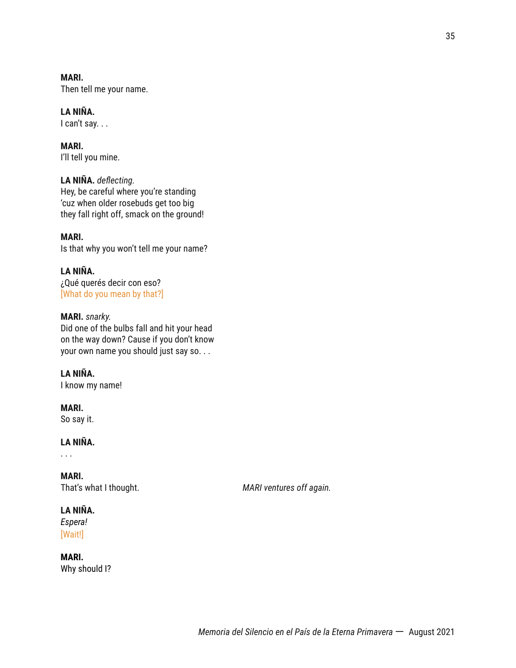**MARI.** Then tell me your name.

**LA NIÑA.** I can't say. . .

**MARI.** I'll tell you mine.

**LA NIÑA.** *deflecting.* Hey, be careful where you're standing 'cuz when older rosebuds get too big they fall right off, smack on the ground!

**MARI.** Is that why you won't tell me your name?

**LA NIÑA.** ¿Qué querés decir con eso? [What do you mean by that?]

**MARI.** *snarky.* Did one of the bulbs fall and hit your head on the way down? Cause if you don't know your own name you should just say so. . .

**LA NIÑA.**

I know my name!

**MARI.** So say it.

**LA NIÑA.**

. . .

**MARI.**

That's what I thought. *MARI ventures off again.*

# **LA NIÑA.**

*Espera!* [Wait!]

**MARI.** Why should I?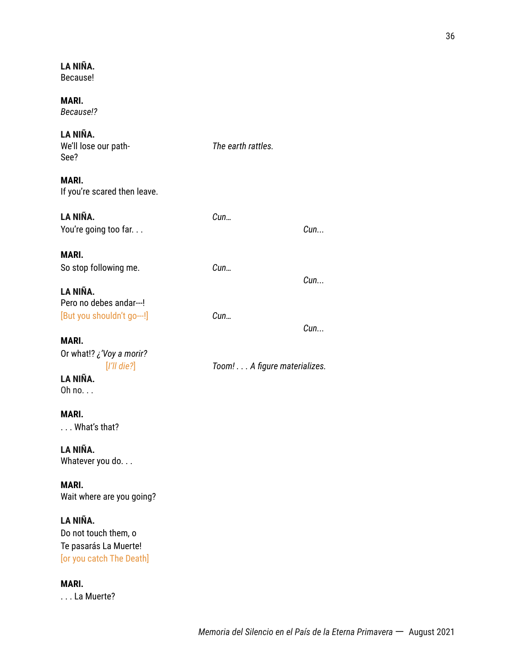# **LA NIÑA.**

Because!

**MARI.** *Because!?*

## **LA NIÑA.**

| We'll lose our path-<br>See?                                      | The earth rattles.           |     |
|-------------------------------------------------------------------|------------------------------|-----|
| MARI.<br>If you're scared then leave.                             |                              |     |
| LA NIÑA.                                                          | Cun                          |     |
| You're going too far                                              |                              | Cun |
| MARI.                                                             |                              |     |
| So stop following me.                                             | Cun                          |     |
|                                                                   |                              | Cun |
| LA NIÑA.                                                          |                              |     |
| Pero no debes andar---!                                           |                              |     |
| [But you shouldn't go---!]                                        | Cun                          | Cun |
| MARI.                                                             |                              |     |
| Or what!? ¿'Voy a morir?                                          |                              |     |
| $[1'll$ die? $]$                                                  | Toom! A figure materializes. |     |
| LA NIÑA.                                                          |                              |     |
| Oh no.                                                            |                              |     |
|                                                                   |                              |     |
| MARI.                                                             |                              |     |
| $\ldots$ What's that?                                             |                              |     |
| LA NIÑA.                                                          |                              |     |
| Whatever you do                                                   |                              |     |
|                                                                   |                              |     |
| <b>MARI.</b>                                                      |                              |     |
| Wait where are you going?                                         |                              |     |
| LA NIÑA.                                                          |                              |     |
| Do not touch them, o                                              |                              |     |
| $T_{\rm eff}$ is a special of $\sim 100$ . A discussion of $\sim$ |                              |     |

Te pasarás La Muerte! [or you catch The Death]

### **MARI.**

. . . La Muerte?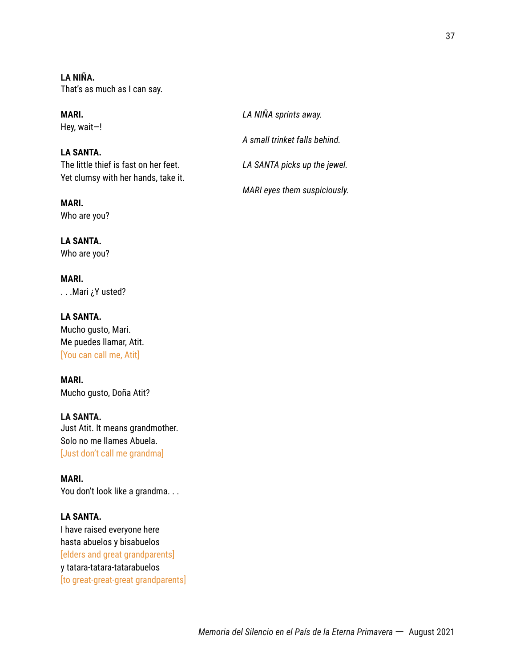**LA NIÑA.** That's as much as I can say.

### **LA SANTA.**

**MARI.** Who are you?

**LA SANTA.** Who are you?

**MARI.** . . .Mari ¿Y usted?

**LA SANTA.** Mucho gusto, Mari. Me puedes llamar, Atit. [You can call me, Atit]

**MARI.** Mucho gusto, Doña Atit?

**LA SANTA.** Just Atit. It means grandmother. Solo no me llames Abuela. [Just don't call me grandma]

**MARI.** You don't look like a grandma...

### **LA SANTA.**

I have raised everyone here hasta abuelos y bisabuelos [elders and great grandparents] y tatara-tatara-tatarabuelos [to great-great-great grandparents]

| MARI.<br>Hey, wait–!                  | LA NIÑA sprints away.         |
|---------------------------------------|-------------------------------|
|                                       | A small trinket falls behind. |
| LA SANTA.                             |                               |
| The little thief is fast on her feet. | LA SANTA picks up the jewel.  |
| Yet clumsy with her hands, take it.   |                               |
|                                       | MARI eyes them suspiciously.  |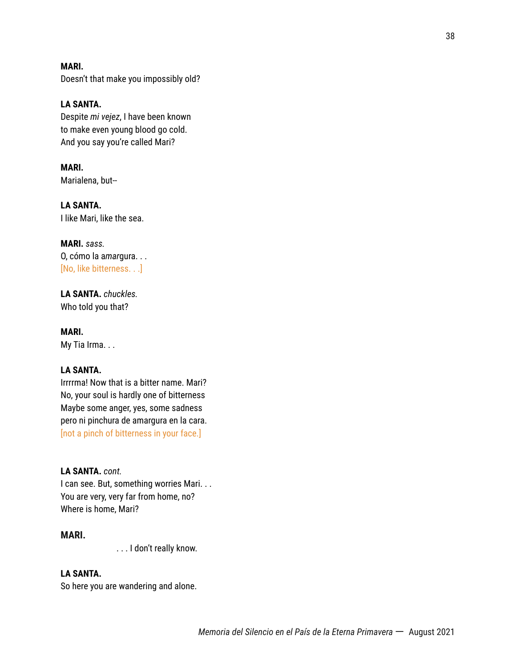**MARI.** Doesn't that make you impossibly old?

**LA SANTA.** Despite *mi vejez*, I have been known to make even young blood go cold. And you say you're called Mari?

**MARI.** Marialena, but--

**LA SANTA.** I like Mari, like the sea.

**MARI.** *sass.* O, cómo la a*mar*gura. . . [No, like bitterness. . .]

**LA SANTA.** *chuckles.* Who told you that?

**MARI.** My Tia Irma. . .

### **LA SANTA.**

Irrrrma! Now that is a bitter name. Mari? No, your soul is hardly one of bitterness Maybe some anger, yes, some sadness pero ni pinchura de amargura en la cara. [not a pinch of bitterness in your face.]

### **LA SANTA.** *cont.*

I can see. But, something worries Mari. . . You are very, very far from home, no? Where is home, Mari?

### **MARI.**

. . . I don't really know.

### **LA SANTA.**

So here you are wandering and alone.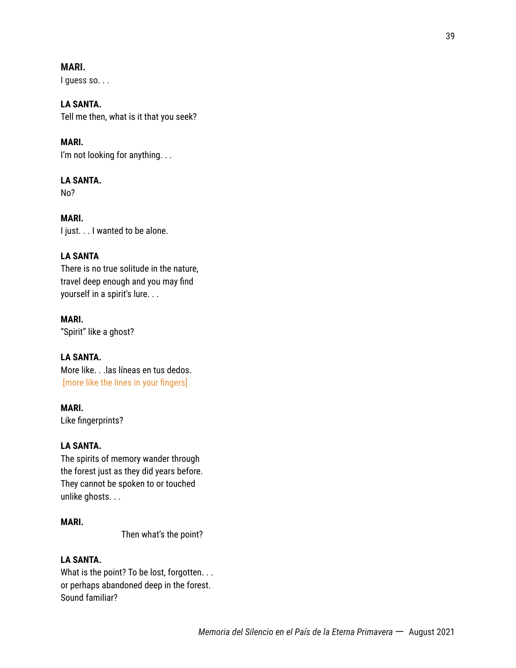### **MARI.**

I quess so. . .

### **LA SANTA.**

Tell me then, what is it that you seek?

### **MARI.**

I'm not looking for anything. . .

### **LA SANTA.**

No?

**MARI.** I just. . . I wanted to be alone.

### **LA SANTA**

There is no true solitude in the nature, travel deep enough and you may find yourself in a spirit's lure. . .

# **MARI.**

"Spirit" like a ghost?

### **LA SANTA.**

More like. . .las líneas en tus dedos. [more like the lines in your fingers]

### **MARI.**

Like fingerprints?

### **LA SANTA.**

The spirits of memory wander through the forest just as they did years before. They cannot be spoken to or touched unlike ghosts. . .

### **MARI.**

Then what's the point?

### **LA SANTA.**

What is the point? To be lost, forgotten. . . or perhaps abandoned deep in the forest. Sound familiar?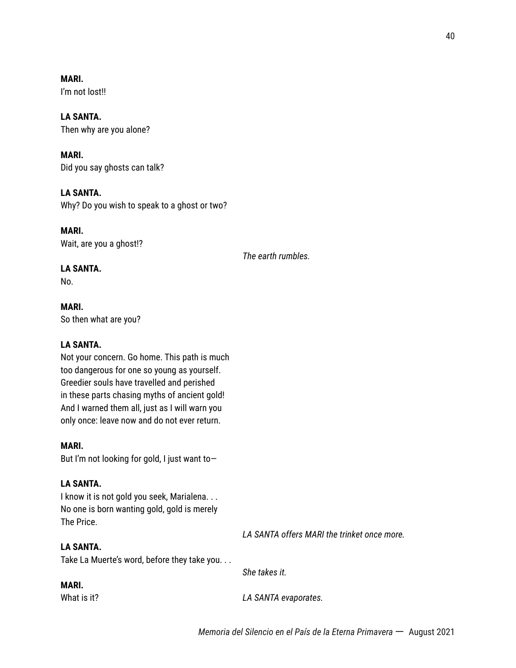**MARI.** I'm not lost!!

### **LA SANTA.**

Then why are you alone?

**MARI.** Did you say ghosts can talk?

### **LA SANTA.**

Why? Do you wish to speak to a ghost or two?

**MARI.** Wait, are you a ghost!?

*The earth rumbles.*

### **LA SANTA.**

No.

**MARI.** So then what are you?

### **LA SANTA.**

Not your concern. Go home. This path is much too dangerous for one so young as yourself. Greedier souls have travelled and perished in these parts chasing myths of ancient gold! And I warned them all, just as I will warn you only once: leave now and do not ever return.

### **MARI.**

But I'm not looking for gold, I just want to—

### **LA SANTA.**

I know it is not gold you seek, Marialena. . . No one is born wanting gold, gold is merely The Price.

### **LA SANTA.**

Take La Muerte's word, before they take you. . .

*She takes it.*

### **MARI.**

What is it? *LA SANTA evaporates.*

*LA SANTA offers MARI the trinket once more.*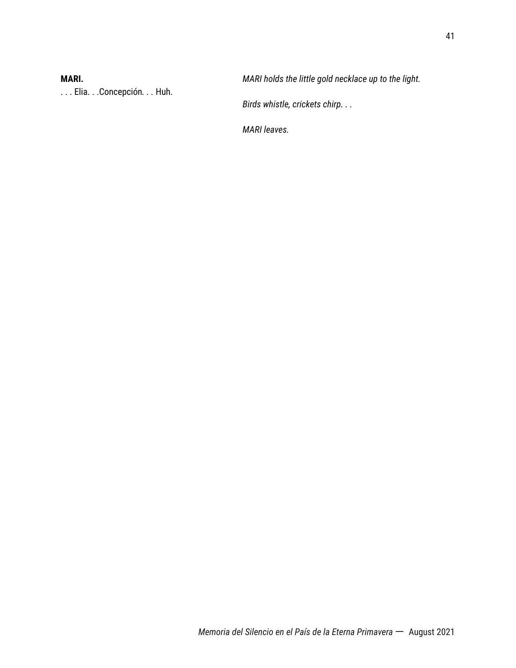. . . Elia. . .Concepción*. . .* Huh.

**MARI.** *MARI holds the little gold necklace up to the light.*

*Birds whistle, crickets chirp. . .*

*MARI leaves.*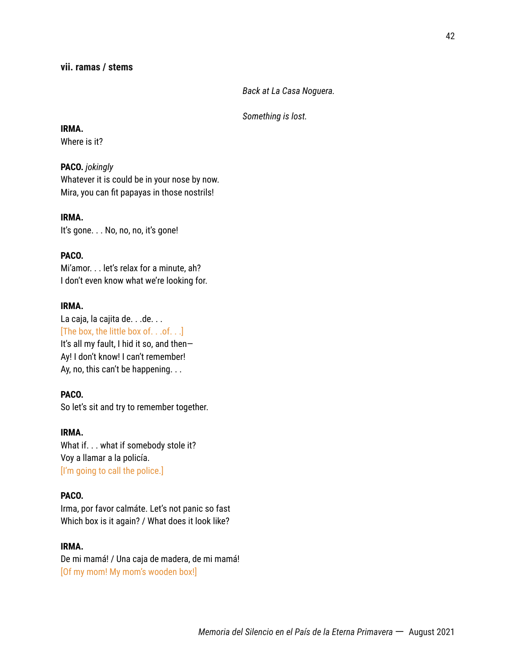*Back at La Casa Noguera.*

*Something is lost.*

**IRMA.**

Where is it?

#### **PACO.** *jokingly*

Whatever it is could be in your nose by now. Mira, you can fit papayas in those nostrils!

**IRMA.** It's gone. . . No, no, no, it's gone!

### **PACO.**

Mi'amor. . . let's relax for a minute, ah? I don't even know what we're looking for.

### **IRMA.**

La caja, la cajita de. . . de. . . [The box, the little box of. . .of. . .] It's all my fault, I hid it so, and then— Ay! I don't know! I can't remember! Ay, no, this can't be happening. . .

### **PACO.**

So let's sit and try to remember together.

### **IRMA.**

What if. . . what if somebody stole it? Voy a llamar a la policía. [I'm going to call the police.]

### **PACO.**

Irma, por favor calmáte. Let's not panic so fast Which box is it again? / What does it look like?

### **IRMA.**

De mi mamá! / Una caja de madera, de mi mamá! [Of my mom! My mom's wooden box!]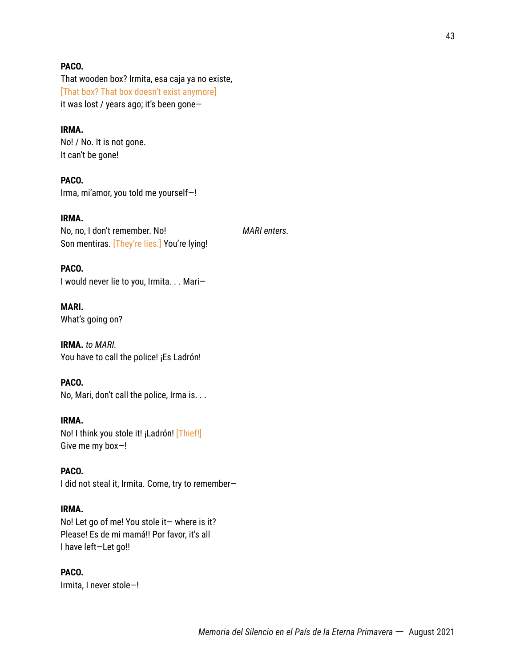### **PACO.**

That wooden box? Irmita, esa caja ya no existe, [That box? That box doesn't exist anymore] it was lost / years ago; it's been gone—

### **IRMA.**

No! / No. It is not gone. It can't be gone!

**PACO.** Irma, mi'amor, you told me yourself—!

**IRMA.** No, no, I don't remember. No! *MARI enters.* Son mentiras. [They're lies.] You're lying!

**PACO.** I would never lie to you, Irmita. . . Mari—

**MARI.** What's going on?

**IRMA.** *to MARI.* You have to call the police! ¡Es Ladrón!

### **PACO.**

No, Mari, don't call the police, Irma is. . .

#### **IRMA.**

No! I think you stole it! ¡Ladrón! [Thief!] Give me my box—!

### **PACO.**

I did not steal it, Irmita. Come, try to remember—

#### **IRMA.**

No! Let go of me! You stole it— where is it? Please! Es de mi mamá!! Por favor, it's all I have left—Let go!!

### **PACO.**

Irmita, I never stole—!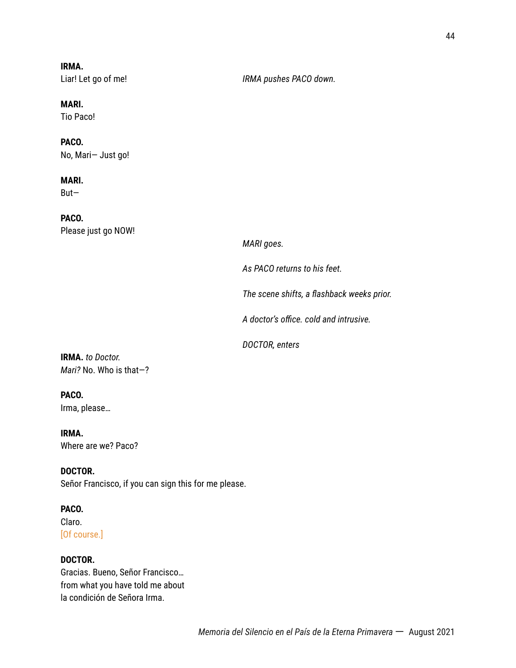**IRMA.**

Liar! Let go of me! *IRMA pushes PACO down.*

### **MARI.**

Tio Paco!

# **PACO.**

No, Mari— Just go!

### **MARI.**

But—

**PACO.** Please just go NOW!

*MARI goes.*

*As PACO returns to his feet.*

*The scene shifts, a flashback weeks prior.*

*A doctor's office. cold and intrusive.*

*DOCTOR, enters*

**IRMA.** *to Doctor. Mari?* No. Who is that—?

### **PACO.**

Irma, please…

**IRMA.** Where are we? Paco?

**DOCTOR.** Señor Francisco, if you can sign this for me please.

### **PACO.**

Claro. [Of course.]

### **DOCTOR.**

Gracias. Bueno, Señor Francisco… from what you have told me about la condición de Señora Irma.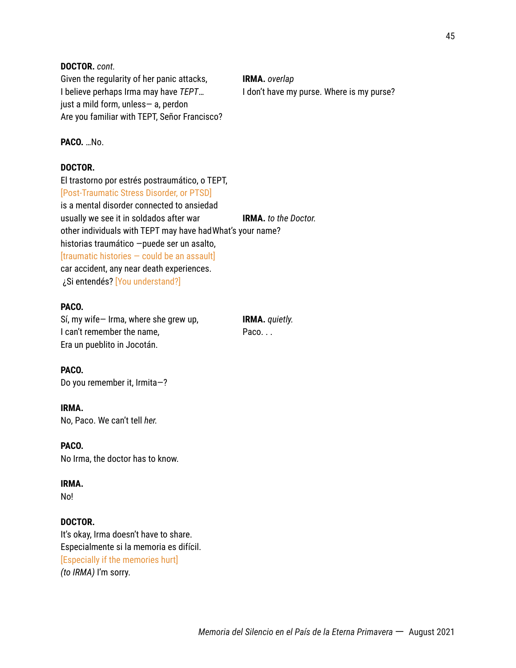### **DOCTOR.** *cont.*

Given the regularity of her panic attacks, **IRMA.** *overlap* I believe perhaps Irma may have *TEPT*... I don't have my purse. Where is my purse? just a mild form, unless— a, perdon Are you familiar with TEPT, Señor Francisco?

### **PACO.** …No.

### **DOCTOR.**

El trastorno por estrés postraumático, o TEPT, [Post-Traumatic Stress Disorder, or PTSD] is a mental disorder connected to ansiedad usually we see it in soldados after war **IRMA.** *to the Doctor.* other individuals with TEPT may have hadWhat's your name? historias traumático —puede ser un asalto,  $[$ traumatic histories  $-$  could be an assault $]$ car accident, any near death experiences. ¿Si entendés? [You understand?]

### **PACO.**

Sí, my wife— Irma, where she grew up, **IRMA.** *quietly.* I can't remember the name, The name Paco. . . Era un pueblito in Jocotán.

#### **PACO.**

Do you remember it, Irmita—?

### **IRMA.**

No, Paco. We can't tell *her.*

#### **PACO.**

No Irma, the doctor has to know.

#### **IRMA.**

No!

#### **DOCTOR.**

It's okay, Irma doesn't have to share. Especialmente si la memoria es difícil. [Especially if the memories hurt] *(to IRMA)* I'm sorry.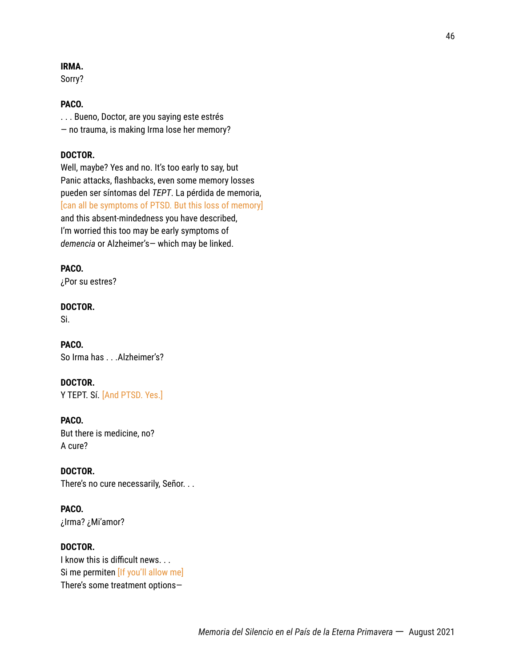### **IRMA.**

Sorry?

### **PACO.**

. . . Bueno, Doctor, are you saying este estrés — no trauma, is making Irma lose her memory?

### **DOCTOR.**

Well, maybe? Yes and no. It's too early to say, but Panic attacks, flashbacks, even some memory losses pueden ser síntomas del *TEPT*. La pérdida de memoria, [can all be symptoms of PTSD. But this loss of memory] and this absent-mindedness you have described, I'm worried this too may be early symptoms of *demencia* or Alzheimer's— which may be linked.

### **PACO.**

¿Por su estres?

### **DOCTOR.**

Si.

**PACO.** So Irma has . . .Alzheimer's?

### **DOCTOR.**

Y TEPT. Sí. [And PTSD. Yes.]

### **PACO.**

But there is medicine, no? A cure?

#### **DOCTOR.**

There's no cure necessarily, Señor. . .

### **PACO.**

¿Irma? ¿Mi'amor?

### **DOCTOR.**

I know this is difficult news. . . Si me permiten [If you'll allow me] There's some treatment options—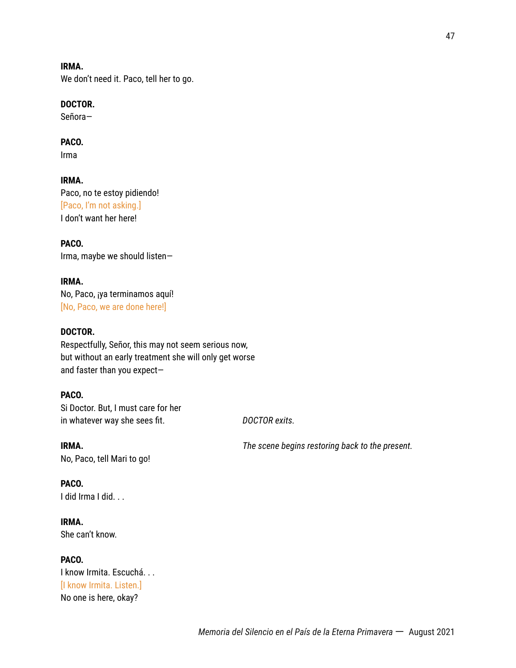*Memoria del Silencio en el País de la Eterna Primavera* 一 August 2021

### **IRMA.**

We don't need it. Paco, tell her to go.

### **DOCTOR.**

Señora—

### **PACO.**

Irma

# **IRMA.**

Paco, no te estoy pidiendo! [Paco, I'm not asking.] I don't want her here!

### **PACO.** Irma, maybe we should listen—

### **IRMA.** No, Paco, ¡ya terminamos aquí! [No, Paco, we are done here!]

### **DOCTOR.**

Respectfully, Señor, this may not seem serious now, but without an early treatment she will only get worse and faster than you expect—

### **PACO.**

Si Doctor. But, I must care for her in whatever way she sees fit. *DOCTOR exits.*

**IRMA.** *The scene begins restoring back to the present.* No, Paco, tell Mari to go!

### **PACO.**

I did Irma I did. . .

### **IRMA.** She can't know.

**PACO.** I know Irmita. Escuchá. . . [I know Irmita. Listen.] No one is here, okay?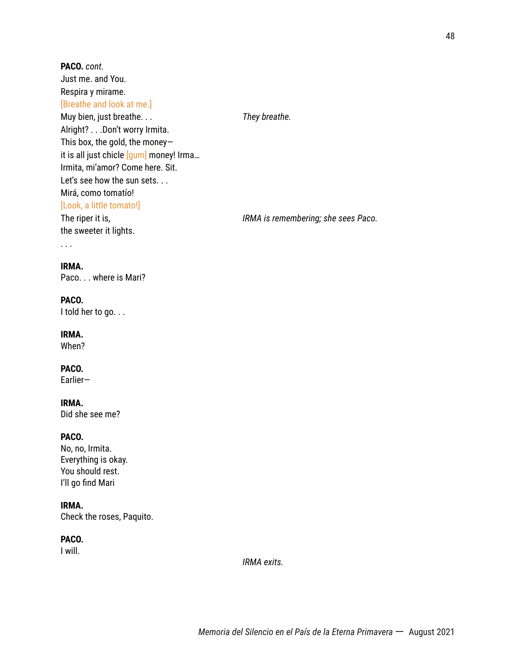Just me. and You. Respira y mirame. [Breathe and look at me.] Muy bien, just breathe. . . *They breathe.* Alright? . . .Don't worry Irmita. This box, the gold, the money it is all just chicle [gum] money! Irma... Irmita, mi'amor? Come here. Sit. Let's see how the sun sets. . . Mirá, como tomatío! [Look, a little tomato!] The riper it is, *IRMA is remembering; she sees Paco.* the sweeter it lights.

#### **IRMA.**

. . .

**PACO.** *cont.*

Paco. . . where is Mari?

### **PACO.**

I told her to go. . .

### **IRMA.**

When?

### **PACO.**

Earlier—

### **IRMA.**

Did she see me?

### **PACO.**

No, no, Irmita. Everything is okay. You should rest. I'll go find Mari

### **IRMA.**

Check the roses, Paquito.

### **PACO.**

I will.

*IRMA exits.*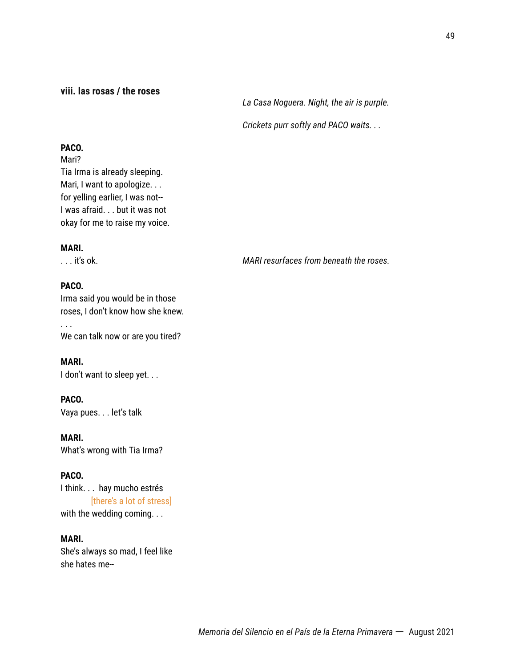### **viii. las rosas / the roses**

*La Casa Noguera. Night, the air is purple.*

*Crickets purr softly and PACO waits. . .*

### **PACO.**

Mari? Tia Irma is already sleeping. Mari, I want to apologize. . . for yelling earlier, I was not-- I was afraid. . . but it was not okay for me to raise my voice.

### **MARI.**

### **PACO.**

. . .

Irma said you would be in those roses, I don't know how she knew.

We can talk now or are you tired?

### **MARI.**

I don't want to sleep yet. . .

### **PACO.**

Vaya pues. . . let's talk

**MARI.**

What's wrong with Tia Irma?

### **PACO.**

I think. . . hay mucho estrés [there's a lot of stress] with the wedding coming. . .

### **MARI.**

She's always so mad, I feel like she hates me--

. . . it's ok. *MARI resurfaces from beneath the roses.*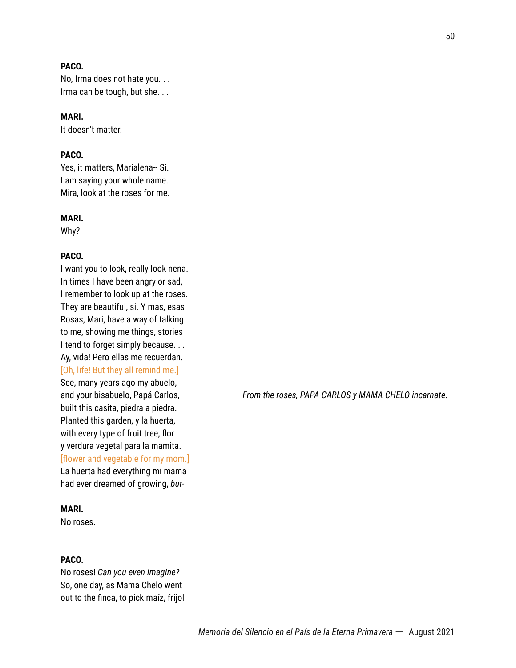### **PACO.**

No, Irma does not hate you. . . Irma can be tough, but she. . .

### **MARI.**

It doesn't matter.

### **PACO.**

Yes, it matters, Marialena-- Si. I am saying your whole name. Mira, look at the roses for me.

#### **MARI.**

Why?

### **PACO.**

I want you to look, really look nena. In times I have been angry or sad, I remember to look up at the roses. They are beautiful, si. Y mas, esas Rosas, Mari, have a way of talking to me, showing me things, stories I tend to forget simply because. . . Ay, vida! Pero ellas me recuerdan. [Oh, life! But they all remind me.] See, many years ago my abuelo, built this casita, piedra a piedra. Planted this garden, y la huerta, with every type of fruit tree, flor y verdura vegetal para la mamita. [flower and vegetable for my mom.] La huerta had everything mi mama had ever dreamed of growing, *but-*

#### **MARI.**

No roses.

#### **PACO.**

No roses! *Can you even imagine?* So, one day, as Mama Chelo went out to the finca, to pick maíz, frijol

and your bisabuelo, Papá Carlos, *From the roses, PAPA CARLOS y MAMA CHELO incarnate.*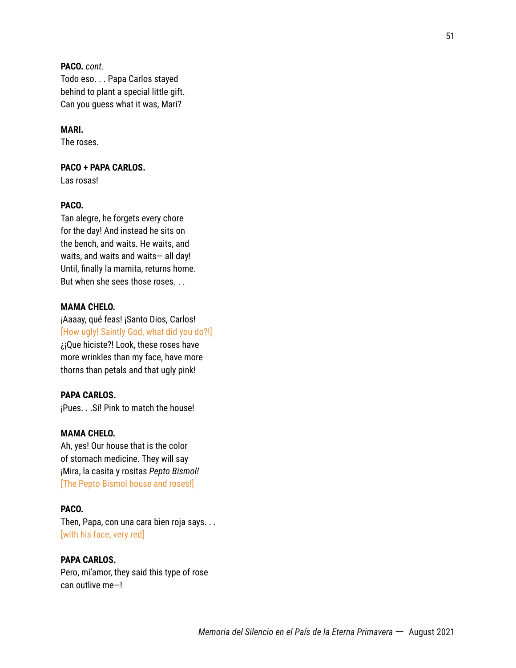**PACO.** *cont.* Todo eso. . . Papa Carlos stayed behind to plant a special little gift. Can you guess what it was, Mari?

#### **MARI.**

The roses.

#### **PACO + PAPA CARLOS.**

Las rosas!

### **PACO.**

Tan alegre, he forgets every chore for the day! And instead he sits on the bench, and waits. He waits, and waits, and waits and waits— all day! Until, finally la mamita, returns home. But when she sees those roses. . .

### **MAMA CHELO.**

¡Aaaay, qué feas! ¡Santo Dios, Carlos! [How ugly! Saintly God, what did you do?!] ¿¡Que hiciste?! Look, these roses have more wrinkles than my face, have more thorns than petals and that ugly pink!

### **PAPA CARLOS.**

¡Pues. . .Sí! Pink to match the house!

### **MAMA CHELO.**

Ah, yes! Our house that is the color of stomach medicine. They will say ¡Mira, la casita y rositas *Pepto Bismol!* [The Pepto Bismol house and roses!]

#### **PACO.**

Then, Papa, con una cara bien roja says. . . [with his face, very red]

#### **PAPA CARLOS.**

Pero, mi'amor, they said this type of rose can outlive me—!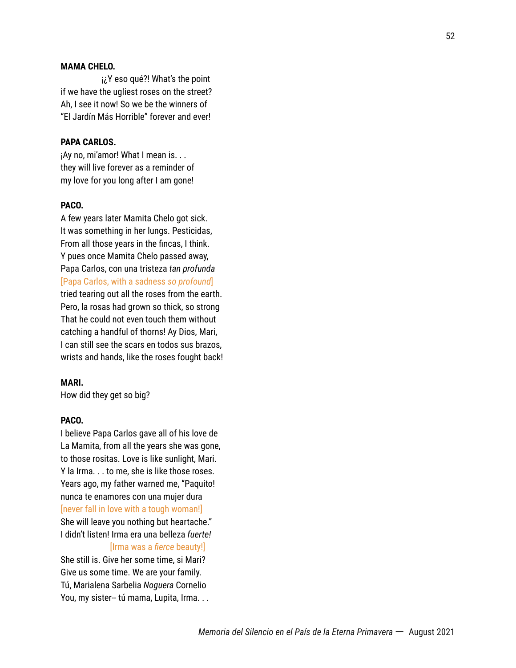### **MAMA CHELO.**

¡¿Y eso qué?! What's the point if we have the ugliest roses on the street? Ah, I see it now! So we be the winners of "El Jardín Más Horrible" forever and ever!

#### **PAPA CARLOS.**

¡Ay no, mi'amor! What I mean is. . . they will live forever as a reminder of my love for you long after I am gone!

### **PACO.**

A few years later Mamita Chelo got sick. It was something in her lungs. Pesticidas, From all those years in the fincas, I think. Y pues once Mamita Chelo passed away, Papa Carlos, con una tristeza *tan profunda* [Papa Carlos, with a sadness *so profound*] tried tearing out all the roses from the earth. Pero, la rosas had grown so thick, so strong That he could not even touch them without catching a handful of thorns! Ay Dios, Mari, I can still see the scars en todos sus brazos, wrists and hands, like the roses fought back!

### **MARI.**

How did they get so big?

### **PACO.**

I believe Papa Carlos gave all of his love de La Mamita, from all the years she was gone, to those rositas. Love is like sunlight, Mari. Y la Irma. . . to me, she is like those roses. Years ago, my father warned me, "Paquito! nunca te enamores con una mujer dura [never fall in love with a tough woman!] She will leave you nothing but heartache." I didn't listen! Irma era una belleza *fuerte!*

#### [Irma was a *fierce* beauty!]

She still is. Give her some time, si Mari? Give us some time. We are your family. Tú, Marialena Sarbelia *Noguera* Cornelio You, my sister-- tú mama, Lupita, Irma. . .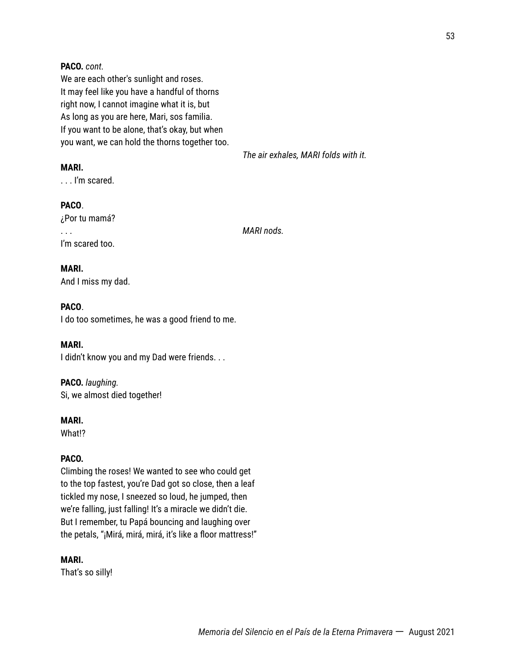### **PACO.** *cont.*

We are each other's sunlight and roses. It may feel like you have a handful of thorns right now, I cannot imagine what it is, but As long as you are here, Mari, sos familia. If you want to be alone, that's okay, but when you want, we can hold the thorns together too.

*The air exhales, MARI folds with it.*

### **MARI.**

. . . I'm scared.

### **PACO**.

¿Por tu mamá? . . . *MARI nods.* I'm scared too.

### **MARI.**

And I miss my dad.

### **PACO**.

I do too sometimes, he was a good friend to me.

### **MARI.**

I didn't know you and my Dad were friends. . .

### **PACO.** *laughing.*

Si, we almost died together!

#### **MARI.**

What!?

### **PACO.**

Climbing the roses! We wanted to see who could get to the top fastest, you're Dad got so close, then a leaf tickled my nose, I sneezed so loud, he jumped, then we're falling, just falling! It's a miracle we didn't die. But I remember, tu Papá bouncing and laughing over the petals, "¡Mirá, mirá, mirá, it's like a floor mattress!"

#### **MARI.**

That's so silly!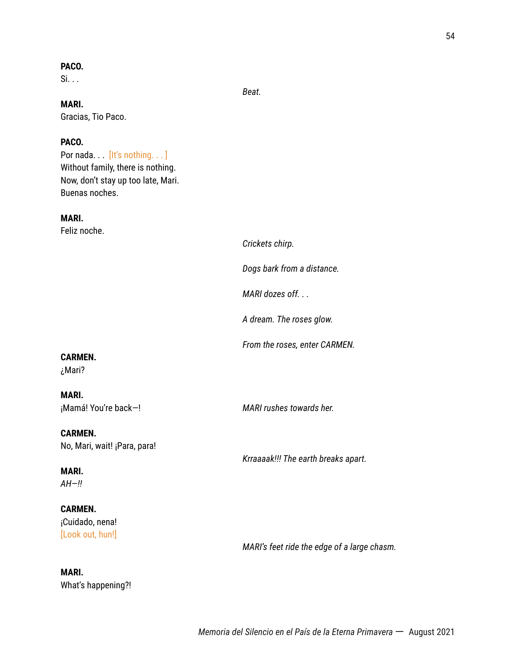### **PACO.**

 $Si. . .$ 

*Beat.*

### **MARI.**

Gracias, Tio Paco.

### **PACO.**

Por nada... [It's nothing...] Without family, there is nothing. Now, don't stay up too late, Mari. Buenas noches.

### **MARI.**

Feliz noche.

*Crickets chirp. Dogs bark from a distance. MARI dozes off. . . A dream. The roses glow. From the roses, enter CARMEN.* **CARMEN.** ¿Mari? **MARI.** ¡Mamá! You're back—! *MARI rushes towards her.* **CARMEN.** No, Mari, wait! ¡Para, para! *Krraaaak!!! The earth breaks apart.* **MARI.** *AH—!!*

### **CARMEN.** ¡Cuidado, nena! [Look out, hun!]

**MARI.**

What's happening?!

*MARI's feet ride the edge of a large chasm.*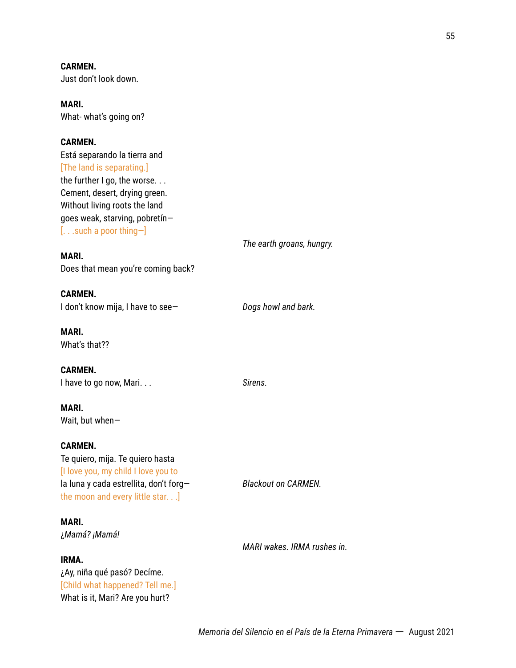**CARMEN.** Just don't look down.

**MARI.** What- what's going on?

### **CARMEN.**

Está separando la tierra and [The land is separating.] the further I go, the worse. . . Cement, desert, drying green. Without living roots the land goes weak, starving, pobretín— [. . .such a poor thing—]

### **MARI.**

Does that mean you're coming back?

**CARMEN.** I don't know mija, I have to see— *Dogs howl and bark.*

**MARI.** What's that??

**CARMEN.** I have to go now, Mari. . . *Sirens.*

**MARI.** Wait, but when—

### **CARMEN.**

Te quiero, mija. Te quiero hasta [I love you, my child I love you to la luna y cada estrellita, don't forg— *Blackout on CARMEN.* the moon and every little star. . .]

**MARI.** ¿*Mamá? ¡Mamá!*

#### **IRMA.**

¿Ay, niña qué pasó? Decíme. [Child what happened? Tell me.] What is it, Mari? Are you hurt?

*The earth groans, hungry.*

*MARI wakes. IRMA rushes in.*

*Memoria del Silencio en el País de la Eterna Primavera* 一 August 2021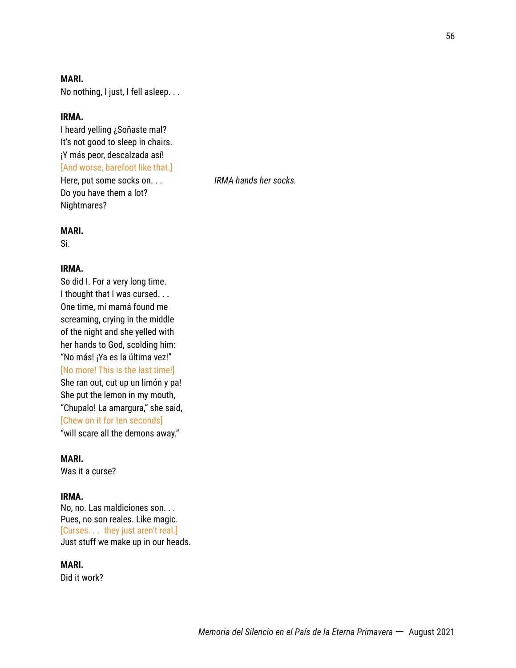### **MARI.**

No nothing, I just, I fell asleep. . .

### **IRMA.**

I heard yelling ¿Soñaste mal? It's not good to sleep in chairs. ¡Y más peor, descalzada así! [And worse, barefoot like that.] Here, put some socks on. . . *IRMA hands her socks.* Do you have them a lot? Nightmares?

#### **MARI.**

Si.

#### **IRMA.**

So did I. For a very long time. I thought that I was cursed. . . One time, mi mamá found me screaming, crying in the middle of the night and she yelled with her hands to God, scolding him: "No más! ¡Ya es la última vez!" [No more! This is the last time!] She ran out, cut up un limón y pa! She put the lemon in my mouth, "Chupalo! La amargura," she said, [Chew on it for ten seconds] "will scare all the demons away."

#### **MARI.**

Was it a curse?

### **IRMA.**

No, no. Las maldiciones son. . . Pues, no son reales. Like magic. [Curses. . . they just aren't real.] Just stuff we make up in our heads.

#### **MARI.**

Did it work?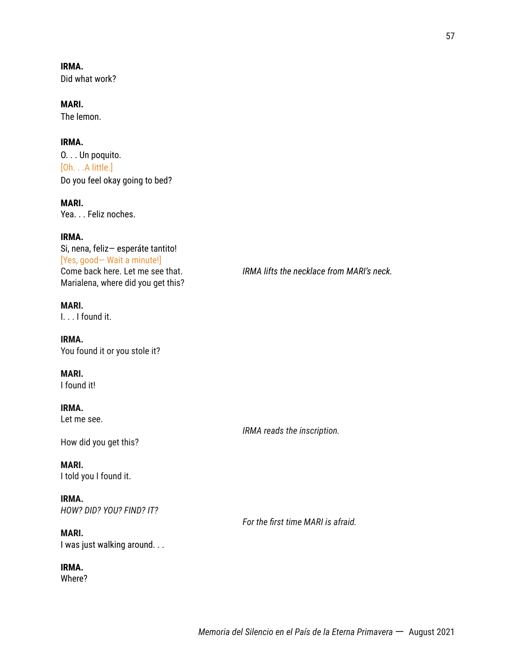**IRMA.** Did what work?

**MARI.** The lemon.

**IRMA.** O. . . Un poquito. [Oh. . .A little.] Do you feel okay going to bed?

**MARI.** Yea. . . Feliz noches.

**IRMA.** Si, nena, feliz— esperáte tantito! [Yes, good— Wait a minute!] Marialena, where did you get this?

**MARI.** I. . . I found it.

**IRMA.** You found it or you stole it?

**MARI.** I found it!

**IRMA.** Let me see.

How did you get this?

**MARI.** I told you I found it.

**IRMA.** *HOW? DID? YOU? FIND? IT?*

**MARI.** I was just walking around. . .

**IRMA.**

Where?

Come back here. Let me see that. *IRMA lifts the necklace from MARI's neck.*

*For the first time MARI is afraid.*

*IRMA reads the inscription.*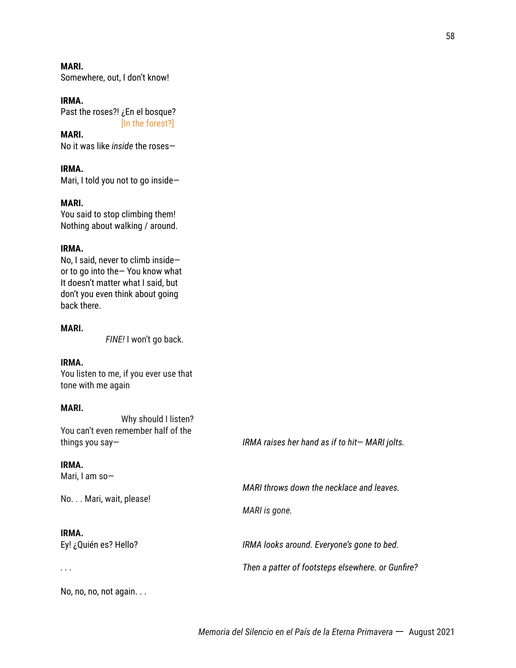**MARI.** Somewhere, out, I don't know!

#### **IRMA.**

Past the roses?! ¿En el bosque? [In the forest?]

**MARI.** No it was like *inside* the roses—

**IRMA.** Mari, I told you not to go inside—

#### **MARI.**

You said to stop climbing them! Nothing about walking / around.

#### **IRMA.**

No, I said, never to climb inside or to go into the— You know what It doesn't matter what I said, but don't you even think about going back there.

#### **MARI.**

*FINE!* I won't go back.

### **IRMA.**

You listen to me, if you ever use that tone with me again

#### **MARI.**

Why should I listen? You can't even remember half of the

things you say— *IRMA raises her hand as if to hit*— *MARI jolts.*

*MARI throws down the necklace and leaves.*

*MARI is gone.*

#### **IRMA.**

Mari, I am so—

No. . . Mari, wait, please!

### **IRMA.**

Ey! ¿Quién es? Hello? *IRMA looks around. Everyone's gone to bed.*

*. . . Then a patter of footsteps elsewhere. or Gunfire?*

No, no, no, not again. . .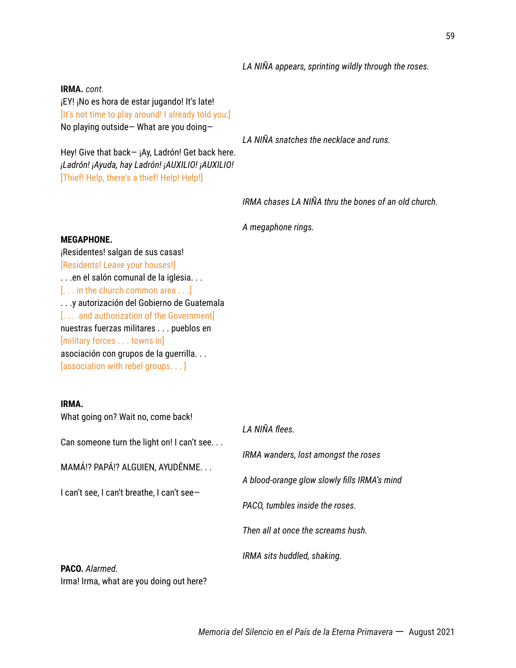### *LA NIÑA appears, sprinting wildly through the roses.*

#### **IRMA.** *cont.*

¡EY! ¡No es hora de estar jugando! It's late! [It's not time to play around! I already told you:] No playing outside— What are you doing—

Hey! Give that back - ¡Ay, Ladrón! Get back here. *¡Ladrón! ¡Ayuda, hay Ladrón! ¡AUXILIO! ¡AUXILIO!*

[Thief! Help, there's a thief! Help! Help!]

*LA NIÑA snatches the necklace and runs.*

*IRMA chases LA NIÑA thru the bones of an old church.*

*A megaphone rings.*

#### **MEGAPHONE.**

¡Residentes! salgan de sus casas! [Residents! Leave your houses!] . . .en el salón comunal de la iglesia. . . [... in the church common area ...] . . .y autorización del Gobierno de Guatemala [. . . and authorization of the Government] nuestras fuerzas militares . . . pueblos en [military forces . . . towns in] asociación con grupos de la guerrilla. . . [association with rebel groups. . . ]

Irma! Irma, what are you doing out here?

#### **IRMA.**

What going on? Wait no, come back! *LA NIÑA flees.* Can someone turn the light on! I can't see. . . *IRMA wanders, lost amongst the roses* MAMÁ!? PAPÁ!? ALGUIEN, AYUDÉNME. . . *A blood-orange glow slowly fills IRMA's mind* I can't see, I can't breathe, I can't see— *PACO, tumbles inside the roses. Then all at once the screams hush. IRMA sits huddled, shaking.* **PACO.** *Alarmed.*

*Memoria del Silencio en el País de la Eterna Primavera* 一 August 2021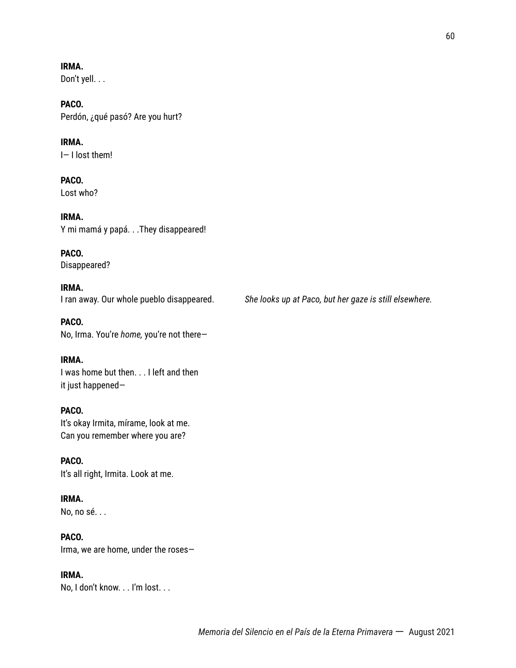**IRMA.** Don't yell. . .

**PACO.** Perdón, ¿qué pasó? Are you hurt?

**IRMA.** I— I lost them!

**PACO.** Lost who?

**IRMA.** Y mi mamá y papá. . .They disappeared!

**PACO.** Disappeared?

**IRMA.**

I ran away. Our whole pueblo disappeared. *She looks up at Paco, but her gaze is still elsewhere.*

**PACO.** No, Irma. You're *home,* you're not there—

**IRMA.** I was home but then. . . I left and then it just happened—

**PACO.** It's okay Irmita, mírame, look at me. Can you remember where you are?

**PACO.** It's all right, Irmita. Look at me.

**IRMA.** No, no sé. . .

**PACO.** Irma, we are home, under the roses—

**IRMA.** No, I don't know. . . I'm lost. . .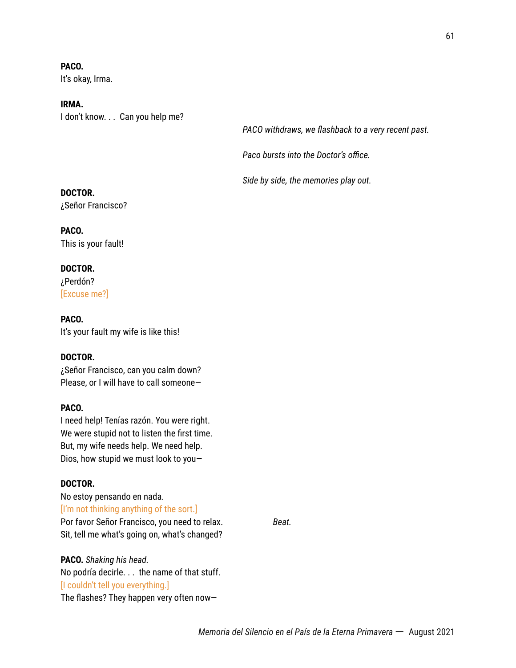**PACO.** It's okay, Irma.

**IRMA.** I don't know. . . Can you help me?

*PACO withdraws, we flashback to a very recent past.*

*Paco bursts into the Doctor's office.*

*Side by side, the memories play out.*

### **DOCTOR.**

¿Señor Francisco?

**PACO.** This is your fault!

#### **DOCTOR.**

¿Perdón? [Excuse me?]

**PACO.** It's your fault my wife is like this!

### **DOCTOR.**

¿Señor Francisco, can you calm down? Please, or I will have to call someone—

### **PACO.**

I need help! Tenías razón. You were right. We were stupid not to listen the first time. But, my wife needs help. We need help. Dios, how stupid we must look to you—

### **DOCTOR.**

No estoy pensando en nada. [I'm not thinking anything of the sort.] Por favor Señor Francisco, you need to relax. *Beat.* Sit, tell me what's going on, what's changed?

**PACO.** *Shaking his head.* No podría decirle. . . the name of that stuff. [I couldn't tell you everything.] The flashes? They happen very often now—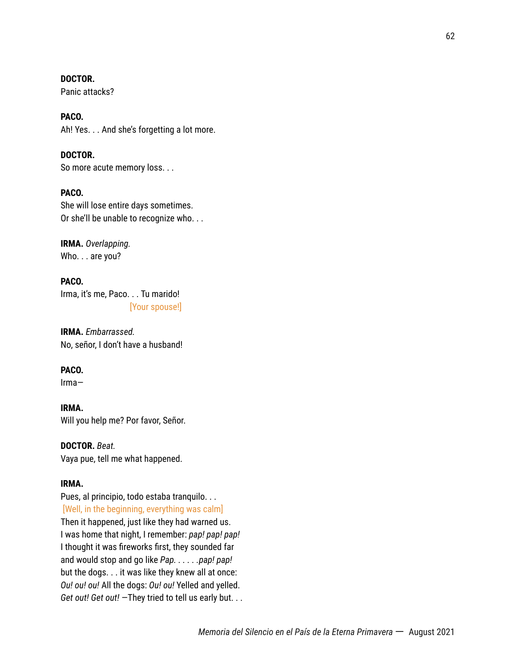**DOCTOR.**

Panic attacks?

**PACO.** Ah! Yes. . . And she's forgetting a lot more.

**DOCTOR.** So more acute memory loss. . .

**PACO.** She will lose entire days sometimes. Or she'll be unable to recognize who. . .

**IRMA.** *Overlapping.* Who. . . are you?

**PACO.** Irma, it's me, Paco. . . Tu marido! [Your spouse!]

**IRMA.** *Embarrassed.* No, señor, I don't have a husband!

**PACO.**

Irma—

**IRMA.** Will you help me? Por favor, Señor.

**DOCTOR.** *Beat.* Vaya pue, tell me what happened.

### **IRMA.**

Pues, al principio, todo estaba tranquilo. . . [Well, in the beginning, everything was calm] Then it happened, just like they had warned us. I was home that night, I remember: *pap! pap! pap!* I thought it was fireworks first, they sounded far and would stop and go like *Pap. . . . . .pap! pap!* but the dogs. . . it was like they knew all at once: *Ou! ou! ou!* All the dogs: *Ou! ou!* Yelled and yelled. *Get out! Get out!* —They tried to tell us early but. . .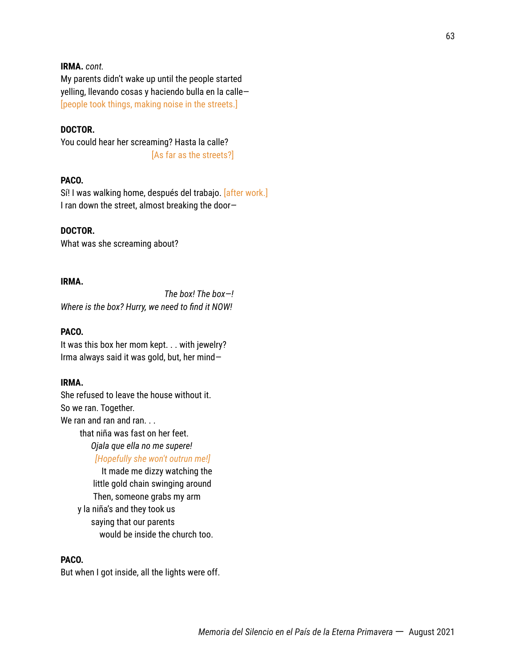### **IRMA.** *cont.*

My parents didn't wake up until the people started yelling, llevando cosas y haciendo bulla en la calle— [people took things, making noise in the streets.]

#### **DOCTOR.**

You could hear her screaming? Hasta la calle? [As far as the streets?]

### **PACO.**

Sí! I was walking home, después del trabajo. [after work.] I ran down the street, almost breaking the door*—*

### **DOCTOR.**

What was she screaming about?

#### **IRMA.**

*The box! The box—! Where is the box? Hurry, we need to find it NOW!*

### **PACO.**

It was this box her mom kept. . . with jewelry? Irma always said it was gold, but, her mind*—*

### **IRMA.**

She refused to leave the house without it. So we ran. Together. We ran and ran and ran. . . that niña was fast on her feet. *Ojala que ella no me supere!*

*[Hopefully she won't outrun me!]*

It made me dizzy watching the little gold chain swinging around Then, someone grabs my arm y la niña's and they took us saying that our parents would be inside the church too.

### **PACO.**

But when I got inside, all the lights were off.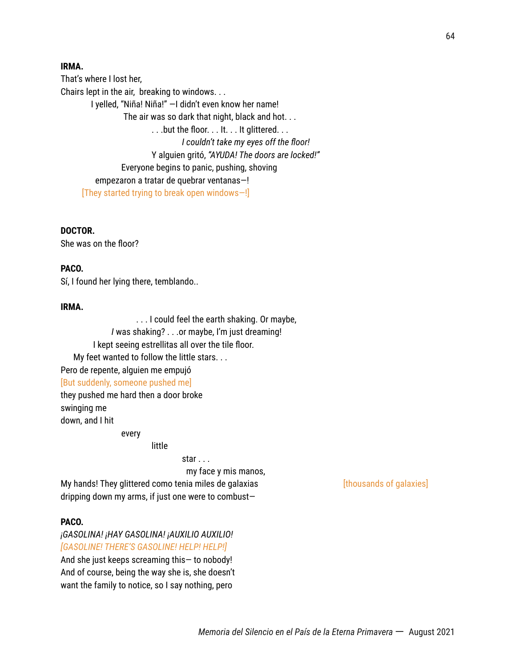### **IRMA.**

That's where I lost her, Chairs lept in the air, breaking to windows. . . I yelled, "Niña! Niña!" —I didn't even know her name! The air was so dark that night, black and hot. . . . . .but the floor. . . It. . . It glittered. . . *I couldn't take my eyes off the floor!* Y alguien gritó, *"AYUDA! The doors are locked!"* Everyone begins to panic, pushing, shoving empezaron a tratar de quebrar ventanas—! [They started trying to break open windows—!]

**DOCTOR.**

She was on the floor?

### **PACO.**

Sí, I found her lying there, temblando..

### **IRMA.**

. . . I could feel the earth shaking. Or maybe, *I* was shaking? . . .or maybe, I'm just dreaming! I kept seeing estrellitas all over the tile floor. My feet wanted to follow the little stars. . . Pero de repente, alguien me empujó [But suddenly, someone pushed me] they pushed me hard then a door broke swinging me

down, and I hit

every

**little** 

star . . .

my face y mis manos, My hands! They glittered como tenia miles de galaxias [thousands of galaxies] dripping down my arms, if just one were to combust—

### **PACO.**

*¡GASOLINA! ¡HAY GASOLINA! ¡AUXILIO AUXILIO! [GASOLINE! THERE'S GASOLINE! HELP! HELP!]* And she just keeps screaming this— to nobody! And of course, being the way she is, she doesn't want the family to notice, so I say nothing, pero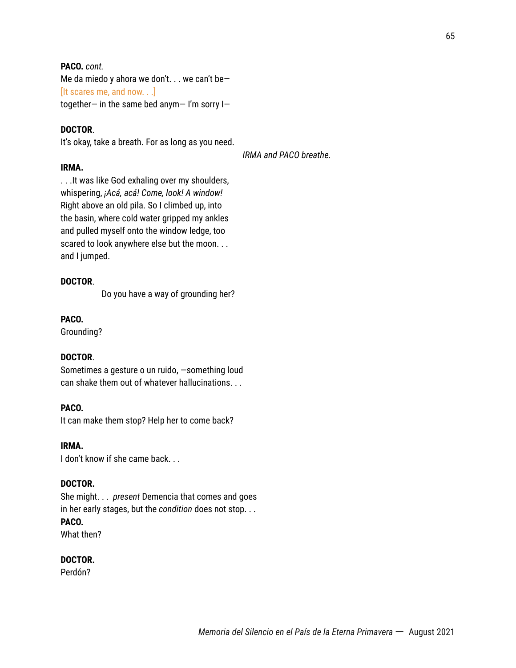### **PACO.** *cont.*

Me da miedo y ahora we don't. . . we can't be— [It scares me, and now. . .] together— in the same bed anym— I'm sorry I—

### **DOCTOR**.

It's okay, take a breath. For as long as you need.

*IRMA and PACO breathe.*

### **IRMA.**

. . .It was like God exhaling over my shoulders, whispering, *¡Acá, acá! Come, look! A window!* Right above an old pila. So I climbed up, into the basin, where cold water gripped my ankles and pulled myself onto the window ledge, too scared to look anywhere else but the moon. . . and I jumped.

### **DOCTOR**.

Do you have a way of grounding her?

### **PACO.**

Grounding?

### **DOCTOR**.

Sometimes a gesture o un ruido, —something loud can shake them out of whatever hallucinations. . .

### **PACO.**

It can make them stop? Help her to come back?

### **IRMA.**

I don't know if she came back. . .

### **DOCTOR.**

She might. . . *present* Demencia that comes and goes in her early stages, but the *condition* does not stop. . . **PACO.** What then?

### **DOCTOR.**

Perdón?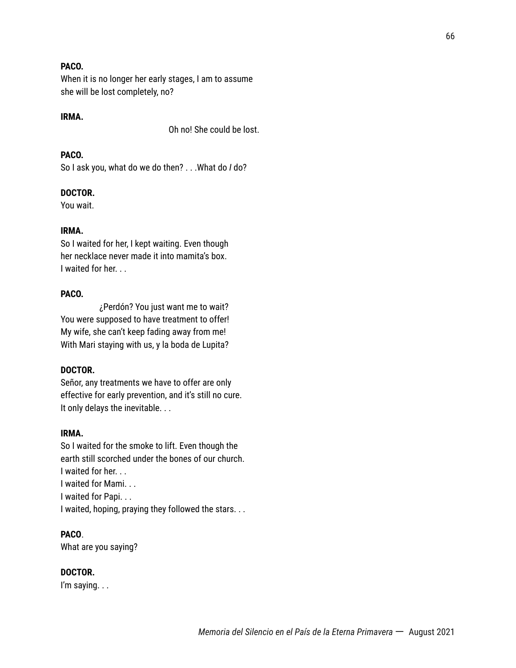### **PACO.**

When it is no longer her early stages, I am to assume she will be lost completely, no?

### **IRMA.**

Oh no! She could be lost.

### **PACO.**

So I ask you, what do we do then? . . .What do *I* do?

#### **DOCTOR.**

You wait.

#### **IRMA.**

So I waited for her, I kept waiting. Even though her necklace never made it into mamita's box. I waited for her. . .

### **PACO.**

¿Perdón? You just want me to wait? You were supposed to have treatment to offer! My wife, she can't keep fading away from me! With Mari staying with us, y la boda de Lupita?

#### **DOCTOR.**

Señor, any treatments we have to offer are only effective for early prevention, and it's still no cure. It only delays the inevitable. . .

### **IRMA.**

So I waited for the smoke to lift. Even though the earth still scorched under the bones of our church. I waited for her. . . I waited for Mami. . . I waited for Papi. . . I waited, hoping, praying they followed the stars. . .

### **PACO**.

What are you saying?

### **DOCTOR.**

I'm saying. . .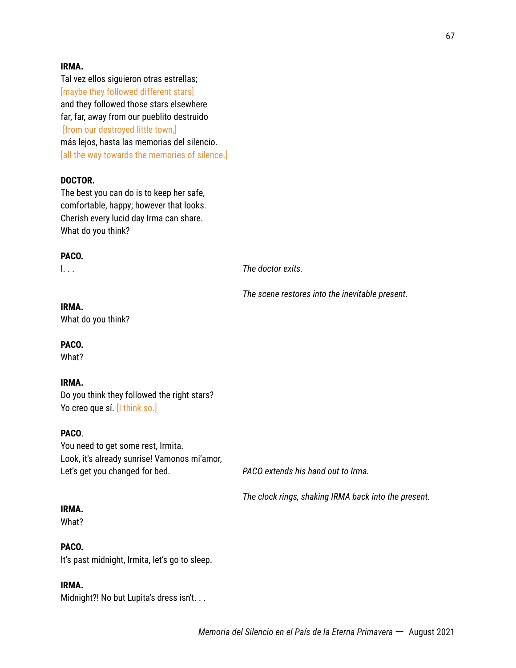### **IRMA.**

Tal vez ellos siguieron otras estrellas; [maybe they followed different stars] and they followed those stars elsewhere far, far, away from our pueblito destruido [from our destroyed little town,] más lejos, hasta las memorias del silencio. [all the way towards the memories of silence.]

### **DOCTOR.**

The best you can do is to keep her safe, comfortable, happy; however that looks. Cherish every lucid day Irma can share. What do you think?

### **PACO.**

I. . . *The doctor exits.*

*The scene restores into the inevitable present.*

### **IRMA.**

What do you think?

### **PACO.**

What?

### **IRMA.**

Do you think they followed the right stars? Yo creo que sí. *[I think so.]* 

### **PACO**.

You need to get some rest, Irmita. Look, it's already sunrise! Vamonos mi'amor, Let's get you changed for bed. *PACO extends his hand out to Irma.*

*The clock rings, shaking IRMA back into the present.*

#### **IRMA.**

What?

#### **PACO.**

It's past midnight, Irmita, let's go to sleep.

### **IRMA.**

Midnight?! No but Lupita's dress isn't. . .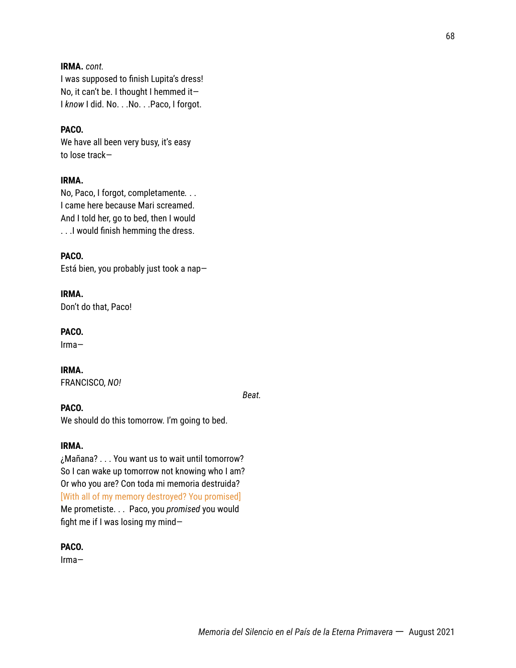### **IRMA.** *cont.*

I was supposed to finish Lupita's dress! No, it can't be. I thought I hemmed it— I *know* I did. No. . .No. . .Paco, I forgot.

### **PACO.**

We have all been very busy, it's easy to lose track—

### **IRMA.**

No, Paco, I forgot, completamente*.* . . I came here because Mari screamed. And I told her, go to bed, then I would . . .I would finish hemming the dress.

### **PACO.**

Está bien, you probably just took a nap—

**IRMA.** Don't do that, Paco!

**PACO.**

Irma—

**IRMA.** FRANCISCO, *NO!*

*Beat.*

### **PACO.**

We should do this tomorrow. I'm going to bed.

#### **IRMA.**

¿Mañana? . . . You want us to wait until tomorrow? So I can wake up tomorrow not knowing who I am? Or who you are? Con toda mi memoria destruida? [With all of my memory destroyed? You promised] Me prometiste. . . Paco, you *promised* you would fight me if I was losing my mind—

#### **PACO.**

Irma—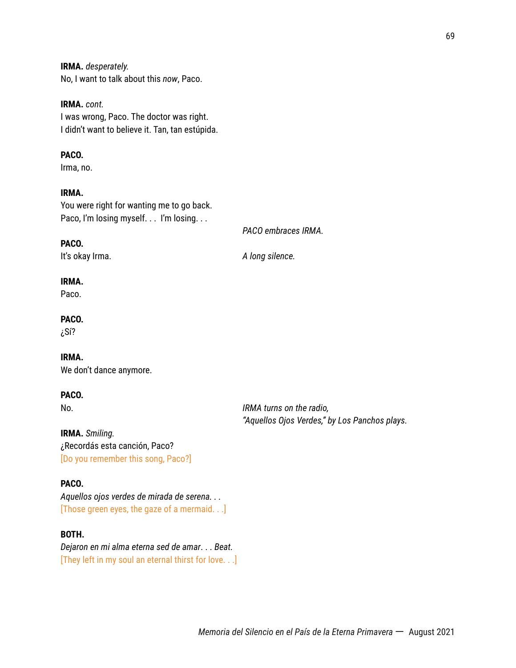**IRMA.** *desperately.* No, I want to talk about this *now*, Paco.

**IRMA.** *cont.* I was wrong, Paco. The doctor was right. I didn't want to believe it. Tan, tan estúpida.

### **PACO.**

Irma, no.

### **IRMA.**

You were right for wanting me to go back. Paco, I'm losing myself. . . I'm losing. . .

*PACO embraces IRMA.*

#### **PACO.**

It's okay Irma. *A long silence.*

#### **IRMA.**

Paco.

### **PACO.**

¿Sí?

#### **IRMA.**

We don't dance anymore.

### **PACO.**

No. *IRMA turns on the radio, "Aquellos Ojos Verdes," by Los Panchos plays.*

**IRMA.** *Smiling.* ¿Recordás esta canción, Paco? [Do you remember this song, Paco?]

### **PACO***.*

*Aquellos ojos verdes de mirada de serena. . .* [Those green eyes, the gaze of a mermaid. . .]

### **BOTH.**

*Dejaron en mi alma eterna sed de amar*. . . *Beat.* [They left in my soul an eternal thirst for love. . .]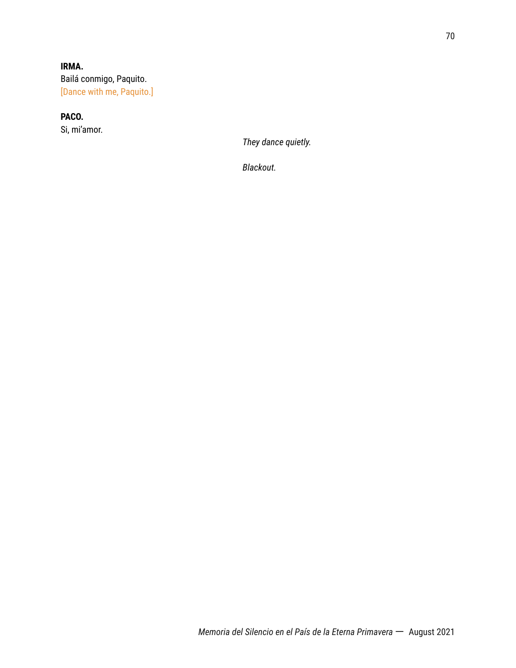### **IRMA.** Bailá conmigo, Paquito. [Dance with me, Paquito.]

### **PACO.**

Si, mi'amor.

*They dance quietly.*

*Blackout.*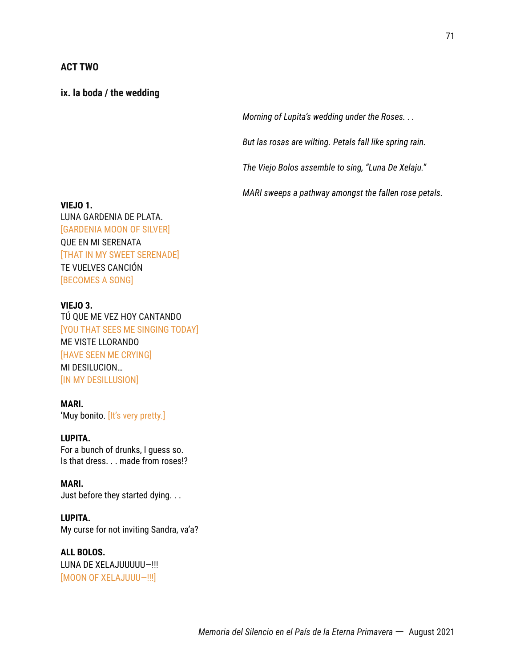### **ACT TWO**

### **ix. la boda / the wedding**

*Morning of Lupita's wedding under the Roses. . .*

*But las rosas are wilting. Petals fall like spring rain.*

*The Viejo Bolos assemble to sing, "Luna De Xelaju."*

*MARI sweeps a pathway amongst the fallen rose petals.*

#### **VIEJO 1.**

LUNA GARDENIA DE PLATA. [GARDENIA MOON OF SILVER] QUE EN MI SERENATA [THAT IN MY SWEET SERENADE] TE VUELVES CANCIÓN [BECOMES A SONG]

#### **VIEJO 3.**

TÚ QUE ME VEZ HOY CANTANDO [YOU THAT SEES ME SINGING TODAY] ME VISTE LLORANDO [HAVE SEEN ME CRYING] MI DESILUCION… [IN MY DESILLUSION]

### **MARI.**

**'**Muy bonito. [It's very pretty.]

### **LUPITA.**

For a bunch of drunks, I guess so. Is that dress. . . made from roses!?

#### **MARI.**

Just before they started dying. . .

### **LUPITA.**

My curse for not inviting Sandra, va'a?

### **ALL BOLOS.** LUNA DE XELAJUUUUU—!!!

[MOON OF XELAJUUU—!!!]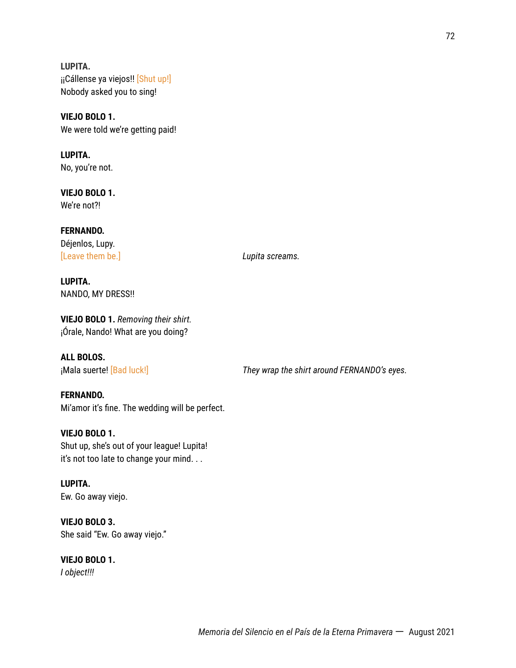**LUPITA.** ¡¡Cállense ya viejos!! [Shut up!] Nobody asked you to sing!

**VIEJO BOLO 1.** We were told we're getting paid!

**LUPITA.** No, you're not.

**VIEJO BOLO 1.** We're not?!

**FERNANDO.** Déjenlos, Lupy. [Leave them be.] *Lupita screams.*

**LUPITA.** NANDO, MY DRESS!!

# **VIEJO BOLO 1.** *Removing their shirt.* ¡Órale, Nando! What are you doing?

**ALL BOLOS.**

¡Mala suerte! [Bad luck!] *They wrap the shirt around FERNANDO's eyes.*

**FERNANDO.** Mi'amor it's fine. The wedding will be perfect.

**VIEJO BOLO 1.** Shut up, she's out of your league! Lupita! it's not too late to change your mind. . .

**LUPITA.** Ew. Go away viejo.

**VIEJO BOLO 3.** She said "Ew. Go away viejo."

**VIEJO BOLO 1.** *I object!!!*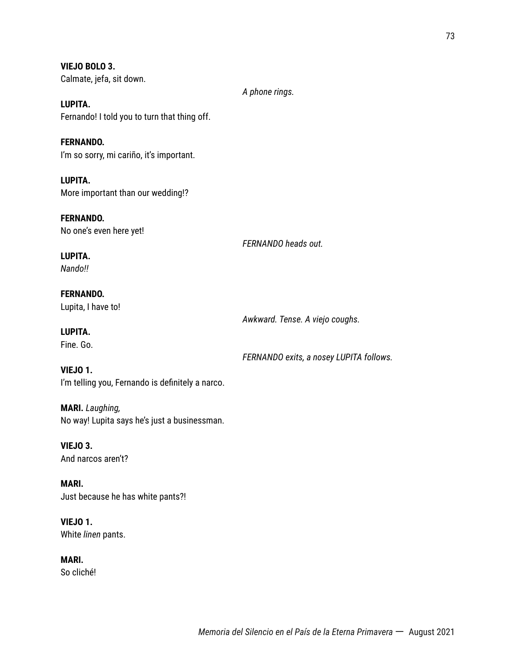**VIEJO BOLO 3.** Calmate, jefa, sit down.

*A phone rings.*

**LUPITA.** Fernando! I told you to turn that thing off.

**FERNANDO.** I'm so sorry, mi cariño, it's important.

**LUPITA.** More important than our wedding!?

**FERNANDO.** No one's even here yet!

*FERNANDO heads out.*

**LUPITA.** *Nando!!*

**FERNANDO.** Lupita, I have to!

**LUPITA.** Fine. Go.

*FERNANDO exits, a nosey LUPITA follows.*

*Awkward. Tense. A viejo coughs.*

**VIEJO 1.** I'm telling you, Fernando is definitely a narco.

**MARI.** *Laughing,* No way! Lupita says he's just a businessman.

**VIEJO 3.** And narcos aren't?

**MARI.** Just because he has white pants?!

**VIEJO 1.** White *linen* pants.

**MARI.** So cliché!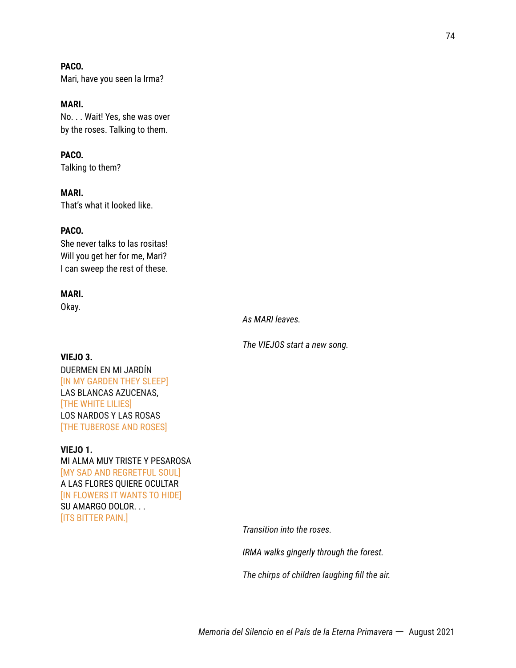**PACO.** Mari, have you seen la Irma?

**MARI.** No. . . Wait! Yes, she was over by the roses. Talking to them.

**PACO.** Talking to them?

**MARI.** That's what it looked like.

# **PACO.**

She never talks to las rositas! Will you get her for me, Mari? I can sweep the rest of these.

# **MARI.**

Okay.

*As MARI leaves.*

*The VIEJOS start a new song.*

# **VIEJO 3.**

DUERMEN EN MI JARDÍN [IN MY GARDEN THEY SLEEP] LAS BLANCAS AZUCENAS, [THE WHITE LILIES] LOS NARDOS Y LAS ROSAS [THE TUBEROSE AND ROSES]

# **VIEJO 1.**

MI ALMA MUY TRISTE Y PESAROSA [MY SAD AND REGRETFUL SOUL] A LAS FLORES QUIERE OCULTAR [IN FLOWERS IT WANTS TO HIDE] SU AMARGO DOLOR. . . [ITS BITTER PAIN.]

*Transition into the roses.*

*IRMA walks gingerly through the forest.*

*The chirps of children laughing fill the air.*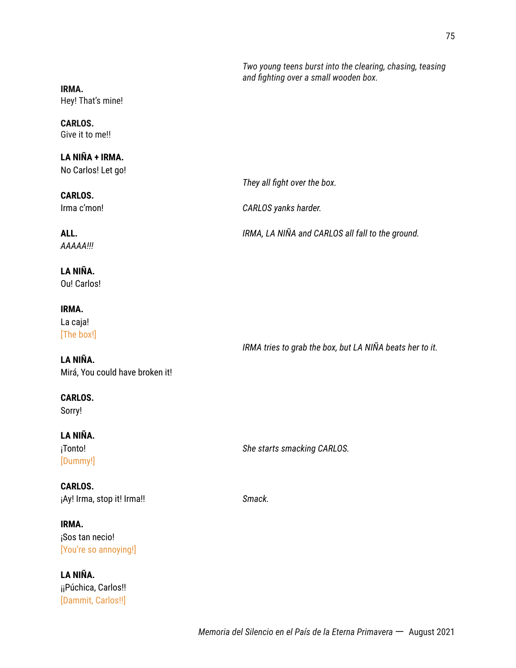*Two young teens burst into the clearing, chasing, teasing and fighting over a small wooden box.*

**IRMA.** Hey! That's mine!

### **CARLOS.** Give it to me!!

# **LA NIÑA + IRMA.**

No Carlos! Let go!

**CARLOS.** Irma c'mon! *CARLOS yanks harder.*

**ALL.** *IRMA, LA NIÑA and CARLOS all fall to the ground. AAAAA!!!*

# **LA NIÑA.** Ou! Carlos!

**IRMA.**

La caja! [The box!]

*IRMA tries to grab the box, but LA NIÑA beats her to it.*

# **LA NIÑA.** Mirá, You could have broken it!

**CARLOS.** Sorry!

# **LA NIÑA.** [Dummy!]

¡Tonto! *She starts smacking CARLOS.*

*They all fight over the box.*

**CARLOS.** ¡Ay! Irma, stop it! Irma!! *Smack.*

# **IRMA.** ¡Sos tan necio! [You're so annoying!]

# **LA NIÑA.** iiPúchica, Carlos!! [Dammit, Carlos!!]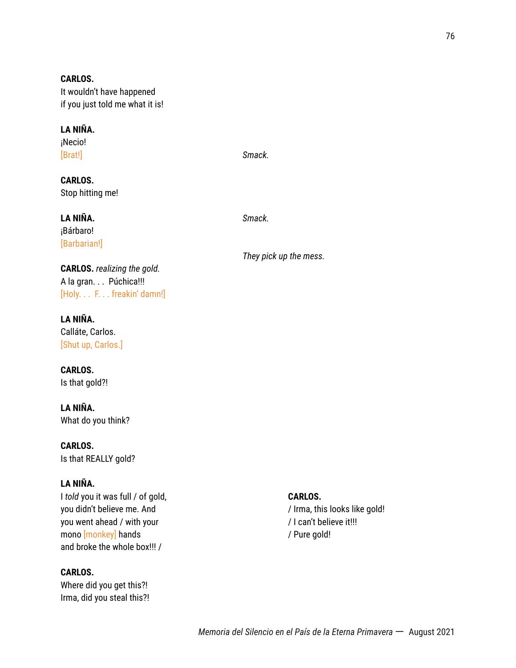**CARLOS.** It wouldn't have happened if you just told me what it is!

# **LA NIÑA.**

¡Necio! [Brat!] *Smack.*

**CARLOS.** Stop hitting me!

**LA NIÑA.** *Smack.* ¡Bárbaro! [Barbarian!]

**CARLOS.** *realizing the gold.* A la gran. . . Púchica!!! [Holy. . . F. . . freakin' damn!]

**LA NIÑA.** Calláte, Carlos. [Shut up, Carlos.]

**CARLOS.** Is that gold?!

**LA NIÑA.** What do you think?

**CARLOS.** Is that REALLY gold?

# **LA NIÑA.**

I *told* you it was full / of gold, you didn't believe me. And you went ahead / with your mono [monkey] hands and broke the whole box!!! /

# **CARLOS.**

Where did you get this?! Irma, did you steal this?!

*They pick up the mess.*

### **CARLOS.**

/ Irma, this looks like gold! / I can't believe it!!! / Pure gold!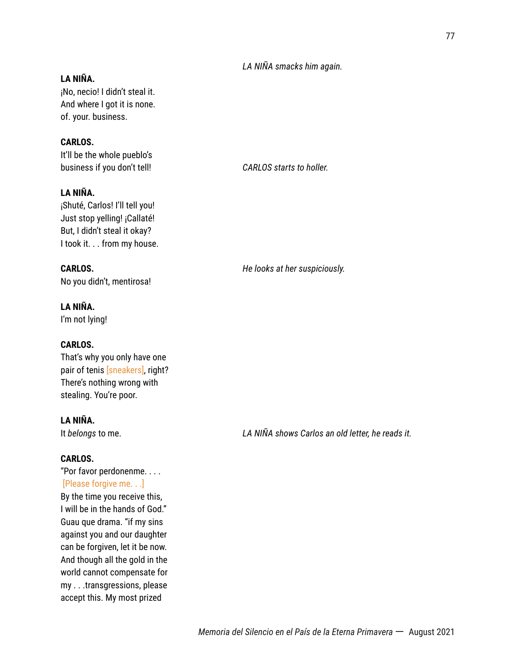# *LA NIÑA smacks him again.*

# **LA NIÑA.**

¡No, necio! I didn't steal it. And where I got it is none. of. your. business.

# **CARLOS.**

It'll be the whole pueblo's business if you don't tell! *CARLOS starts to holler.*

# **LA NIÑA.**

¡Shuté, Carlos! I'll tell you! Just stop yelling! ¡Callaté! But, I didn't steal it okay? I took it. . . from my house.

No you didn't, mentirosa!

# **LA NIÑA.**

I'm not lying!

# **CARLOS.**

That's why you only have one pair of tenis [sneakers], right? There's nothing wrong with stealing. You're poor.

# **LA NIÑA.**

# **CARLOS.**

"Por favor perdonenme. . . . [Please forgive me. . .] By the time you receive this, I will be in the hands of God." Guau que drama. "if my sins against you and our daughter can be forgiven, let it be now. And though all the gold in the world cannot compensate for my . . .transgressions, please accept this. My most prized

**CARLOS.** *He looks at her suspiciously.*

It *belongs* to me. *LA NIÑA shows Carlos an old letter, he reads it.*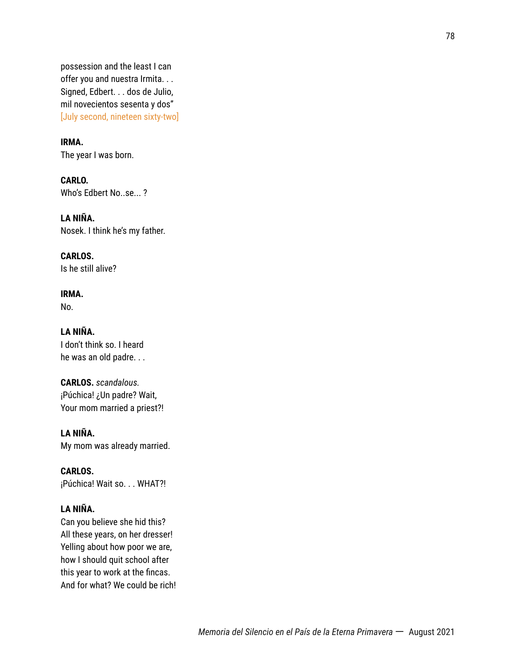possession and the least I can offer you and nuestra Irmita. . . Signed, Edbert. . . dos de Julio, mil novecientos sesenta y dos" [July second, nineteen sixty-two]

**IRMA.**

The year I was born.

**CARLO.** Who's Edbert No..se... ?

**LA NIÑA.** Nosek. I think he's my father.

**CARLOS.** Is he still alive?

**IRMA.** No.

**LA NIÑA.** I don't think so. I heard he was an old padre. . .

**CARLOS.** *scandalous.* ¡Púchica! ¿Un padre? Wait, Your mom married a priest?!

**LA NIÑA.** My mom was already married.

**CARLOS.** ¡Púchica! Wait so. . . WHAT?!

# **LA NIÑA.**

Can you believe she hid this? All these years, on her dresser! Yelling about how poor we are, how I should quit school after this year to work at the fincas. And for what? We could be rich!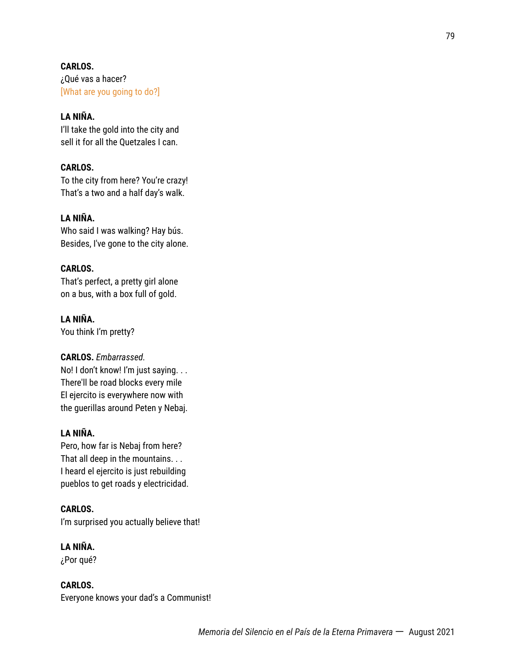**CARLOS.** ¿Qué vas a hacer? [What are you going to do?]

# **LA NIÑA.**

I'll take the gold into the city and sell it for all the Quetzales I can.

# **CARLOS.**

To the city from here? You're crazy! That's a two and a half day's walk.

# **LA NIÑA.**

Who said I was walking? Hay bús. Besides, I've gone to the city alone.

# **CARLOS.**

That's perfect, a pretty girl alone on a bus, with a box full of gold.

# **LA NIÑA.**

You think I'm pretty?

# **CARLOS.** *Embarrassed.*

No! I don't know! I'm just saying. . . There'll be road blocks every mile El ejercito is everywhere now with the guerillas around Peten y Nebaj.

# **LA NIÑA.**

Pero, how far is Nebaj from here? That all deep in the mountains. . . I heard el ejercito is just rebuilding pueblos to get roads y electricidad.

# **CARLOS.**

I'm surprised you actually believe that!

# **LA NIÑA.**

¿Por qué?

# **CARLOS.**

Everyone knows your dad's a Communist!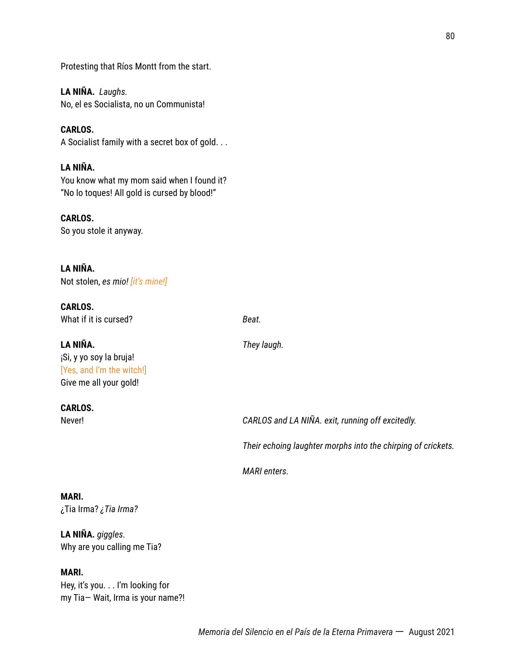Protesting that Ríos Montt from the start.

**LA NIÑA.** *Laughs.* No, el es Socialista, no un Communista!

**CARLOS.** A Socialist family with a secret box of gold. . .

# **LA NIÑA.**

You know what my mom said when I found it? "No lo toques! All gold is cursed by blood!"

**CARLOS.**

So you stole it anyway.

# **LA NIÑA.**

Not stolen, *es mio! [it's mine!]*

**CARLOS.** What if it is cursed? **Beat. Beat.** 

# **LA NIÑA.** *They laugh.*

¡Si, y yo soy la bruja! [Yes, and I'm the witch!] Give me all your gold!

# **CARLOS.**

Never! *CARLOS and LA NIÑA. exit, running off excitedly.*

*Their echoing laughter morphs into the chirping of crickets.*

*MARI enters.*

# **MARI.**

¿Tia Irma? *¿Tia Irma?*

# **LA NIÑA.** *giggles.* Why are you calling me Tia?

# **MARI.**

Hey, it's you. . . I'm looking for my Tia— Wait, Irma is your name?!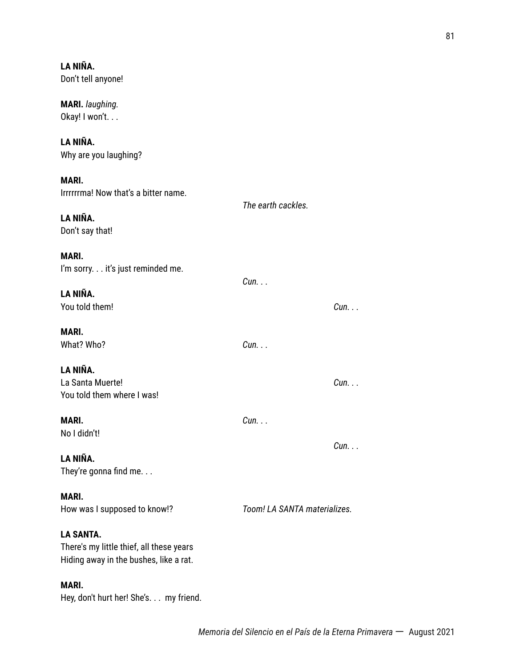**LA NIÑA.** Don't tell anyone! **MARI.** *laughing.* Okay! I won't. . . **LA NIÑA.** Why are you laughing? **MARI.** Irrrrrrma! Now that's a bitter name. *The earth cackles.* **LA NIÑA.** Don't say that! **MARI.** I'm sorry. . . it's just reminded me. *Cun. . .* **LA NIÑA.** You told them! *Cun. . .* **MARI.** What? Who? *Cun. . .* **LA NIÑA.** La Santa Muerte! *Cun. . .* You told them where I was! **MARI.** *Cun. . .* No I didn't! *Cun. . .* **LA NIÑA.** They're gonna find me. . . **MARI.** How was I supposed to know!? *Toom! LA SANTA materializes.* **LA SANTA.** There's my little thief, all these years Hiding away in the bushes, like a rat. **MARI.**

Hey, don't hurt her! She's. . . my friend.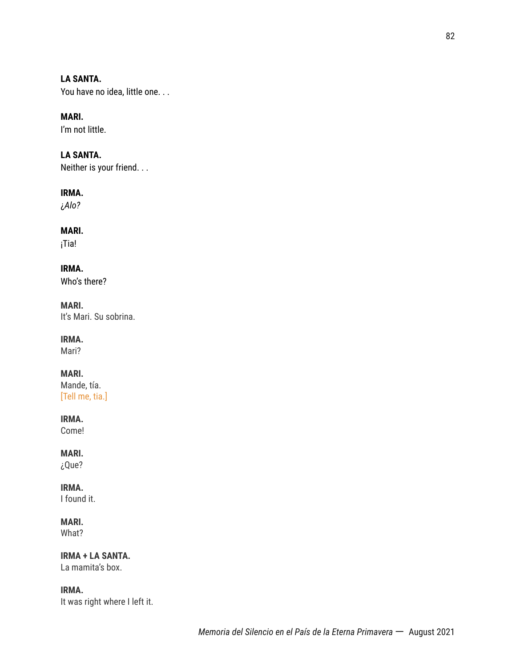# **LA SANTA.**

You have no idea, little one. . .

# **MARI.**

I'm not little.

# **LA SANTA.**

Neither is your friend. . .

### **IRMA.**

¿*Alo?*

# **MARI.**

¡Tia!

**IRMA.** Who's there?

# **MARI.**

It's Mari. Su sobrina.

# **IRMA.**

Mari?

# **MARI.**

Mande, tía. [Tell me, tia.]

# **IRMA.**

Come!

# **MARI.**

¿Que?

# **IRMA.**

I found it.

# **MARI.**

What?

# **IRMA + LA SANTA.**

La mamita's box.

# **IRMA.**

It was right where I left it.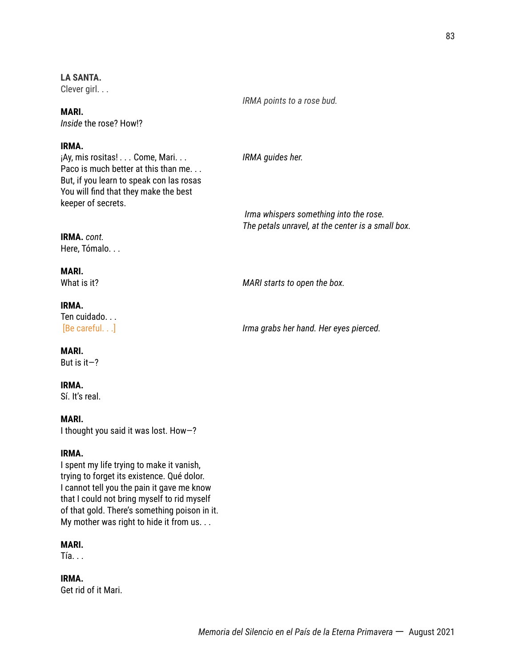### **LA SANTA.**

Clever girl. . .

**MARI.** *Inside* the rose? How!?

### **IRMA.**

¡Ay, mis rositas! *. . .* Come, Mari. . . *IRMA guides her.* Paco is much better at this than me. . . But, if you learn to speak con las rosas You will find that they make the best keeper of secrets.

*IRMA points to a rose bud.*

*Irma whispers something into the rose. The petals unravel, at the center is a small box.*

**IRMA.** *cont.* Here, Tómalo. . .

### **MARI.**

What is it? *MARI starts to open the box.*

#### **IRMA.**

Ten cuidado. . . [Be careful. . .] *Irma grabs her hand. Her eyes pierced.*

#### **MARI.**

But is  $it-?$ 

### **IRMA.**

Sí. It's real.

### **MARI.**

I thought you said it was lost. How—?

### **IRMA.**

I spent my life trying to make it vanish, trying to forget its existence. Qué dolor. I cannot tell you the pain it gave me know that I could not bring myself to rid myself of that gold. There's something poison in it. My mother was right to hide it from us. . .

# **MARI.**

Tía. . .

**IRMA.** Get rid of it Mari.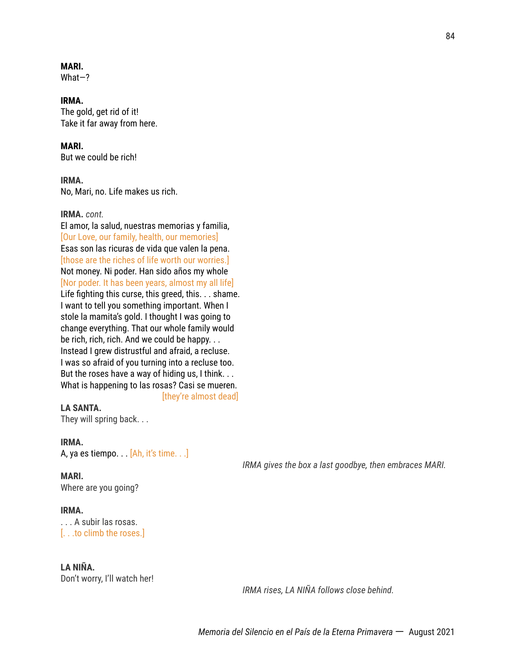### **MARI.**

What—?

### **IRMA.**

The gold, get rid of it! Take it far away from here.

### **MARI.**

But we could be rich!

#### **IRMA.**

No, Mari, no. Life makes us rich.

### **IRMA.** *cont.*

El amor, la salud, nuestras memorias y familia, [Our Love, our family, health, our memories] Esas son las ricuras de vida que valen la pena. [those are the riches of life worth our worries.] Not money. Ni poder. Han sido años my whole [Nor poder. It has been years, almost my all life] Life fighting this curse, this greed, this. . . shame. I want to tell you something important. When I stole la mamita's gold. I thought I was going to change everything. That our whole family would be rich, rich, rich. And we could be happy. . . Instead I grew distrustful and afraid, a recluse. I was so afraid of you turning into a recluse too. But the roses have a way of hiding us, I think. . . What is happening to las rosas? Casi se mueren. [they're almost dead]

# **LA SANTA.**

They will spring back. . .

### **IRMA.**

A, ya es tiempo. . . [Ah, it's time. . .]

#### **MARI.**

Where are you going?

### **IRMA.**

. . . A subir las rosas. [. . .to climb the roses.]

# **LA NIÑA.**

Don't worry, I'll watch her!

*IRMA rises, LA NIÑA follows close behind.*

*IRMA gives the box a last goodbye, then embraces MARI.*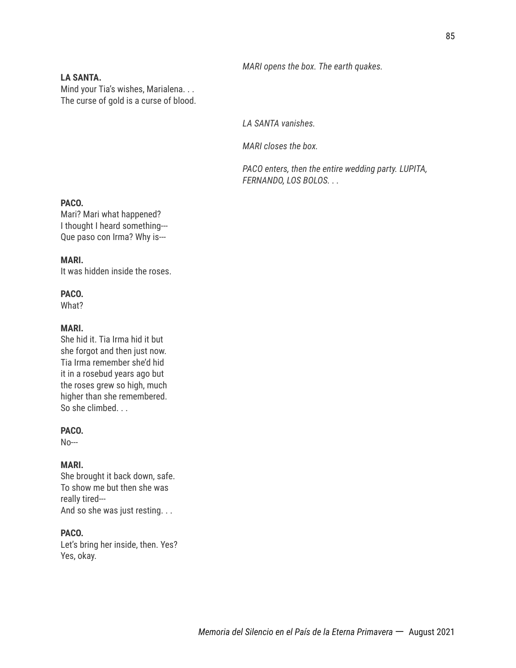### *MARI opens the box. The earth quakes.*

# **LA SANTA.**

Mind your Tia's wishes, Marialena. . . The curse of gold is a curse of blood.

*LA SANTA vanishes.*

*MARI closes the box.*

*PACO enters, then the entire wedding party. LUPITA, FERNANDO, LOS BOLOS. . .*

### **PACO.**

Mari? Mari what happened? I thought I heard something--- Que paso con Irma? Why is---

### **MARI.**

It was hidden inside the roses.

### **PACO.**

What?

### **MARI.**

She hid it. Tia Irma hid it but she forgot and then just now. Tia Irma remember she'd hid it in a rosebud years ago but the roses grew so high, much higher than she remembered. So she climbed. . .

### **PACO.**

No---

### **MARI.**

She brought it back down, safe. To show me but then she was really tired--- And so she was just resting. . .

# **PACO.**

Let's bring her inside, then. Yes? Yes, okay.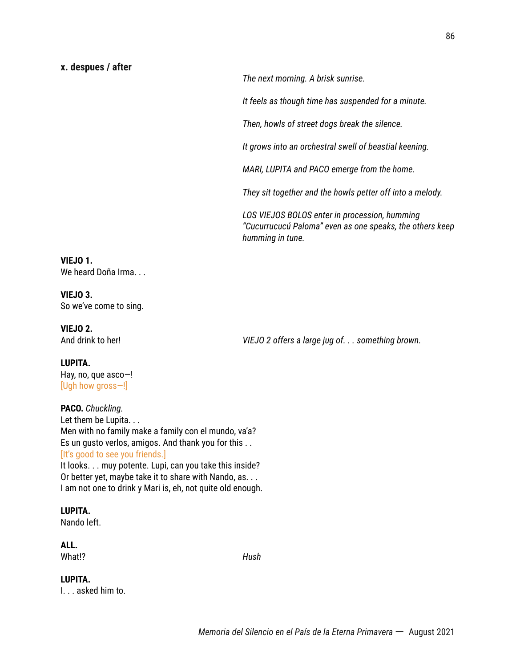*The next morning. A brisk sunrise.*

*It feels as though time has suspended for a minute.*

*Then, howls of street dogs break the silence.*

*It grows into an orchestral swell of beastial keening.*

*MARI, LUPITA and PACO emerge from the home.*

*They sit together and the howls petter off into a melody.*

*LOS VIEJOS BOLOS enter in procession, humming "Cucurrucucú Paloma" even as one speaks, the others keep humming in tune.*

### **VIEJO 1.** We heard Doña Irma...

**VIEJO 3.** So we've come to sing.

**VIEJO 2.**

And drink to her! *VIEJO 2 offers a large jug of. . . something brown.*

# **LUPITA.**

Hay, no, que asco—! [Ugh how gross—!]

# **PACO.** *Chuckling.* Let them be Lupita. . . Men with no family make a family con el mundo, va'a? Es un gusto verlos, amigos. And thank you for this . . [It's good to see you friends.]

It looks. . . muy potente. Lupi, can you take this inside? Or better yet, maybe take it to share with Nando, as. . . I am not one to drink y Mari is, eh, not quite old enough.

# **LUPITA.**

Nando left.

# **ALL.**

What!? *Hush*

# **LUPITA.**

I. . . asked him to.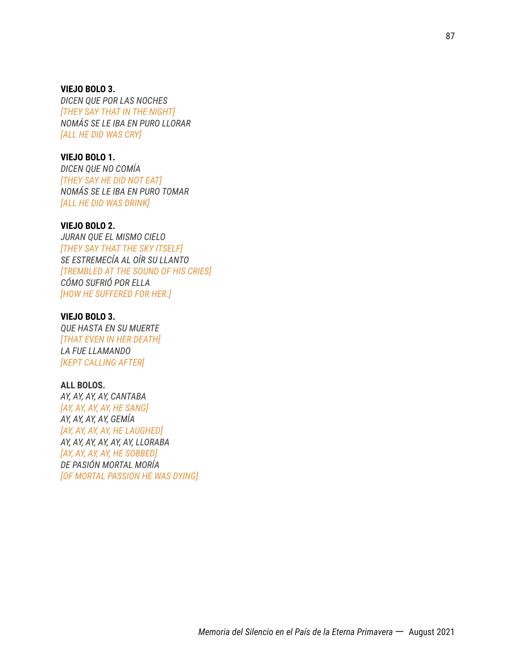**VIEJO BOLO 3.** *DICEN QUE POR LAS NOCHES [THEY SAY THAT IN THE NIGHT] NOMÁS SE LE IBA EN PURO LLORAR [ALL HE DID WAS CRY]*

### **VIEJO BOLO 1.**

*DICEN QUE NO COMÍA [THEY SAY HE DID NOT EAT] NOMÁS SE LE IBA EN PURO TOMAR [ALL HE DID WAS DRINK]*

### **VIEJO BOLO 2.**

*JURAN QUE EL MISMO CIELO [THEY SAY THAT THE SKY ITSELF] SE ESTREMECÍA AL OÍR SU LLANTO [TREMBLED AT THE SOUND OF HIS CRIES] CÓMO SUFRIÓ POR ELLA [HOW HE SUFFERED FOR HER.]*

### **VIEJO BOLO 3.**

*QUE HASTA EN SU MUERTE [THAT EVEN IN HER DEATH] LA FUE LLAMANDO [KEPT CALLING AFTER]*

### **ALL BOLOS.**

*AY, AY, AY, AY, CANTABA [AY, AY, AY, AY, HE SANG] AY, AY, AY, AY, GEMÍA [AY, AY, AY, AY, HE LAUGHED] AY, AY, AY, AY, AY, AY, LLORABA [AY, AY, AY, AY, HE SOBBED] DE PASIÓN MORTAL MORÍA [OF MORTAL PASSION HE WAS DYING]*